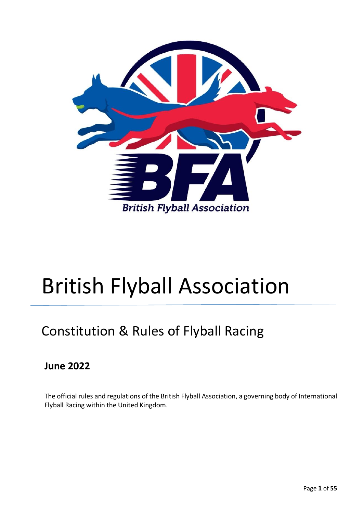

# British Flyball Association

# Constitution & Rules of Flyball Racing

# **June 2022**

The official rules and regulations of the British Flyball Association, a governing body of International Flyball Racing within the United Kingdom.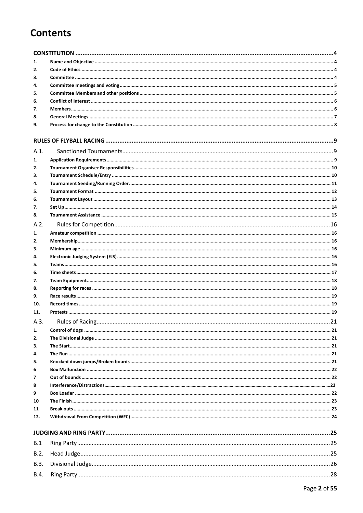# **Contents**

| 1.     |                                                                                                                                                                                                                                                                                                                                                                                                                                                                                                                                                                                                                                                                                          |  |
|--------|------------------------------------------------------------------------------------------------------------------------------------------------------------------------------------------------------------------------------------------------------------------------------------------------------------------------------------------------------------------------------------------------------------------------------------------------------------------------------------------------------------------------------------------------------------------------------------------------------------------------------------------------------------------------------------------|--|
| 2.     |                                                                                                                                                                                                                                                                                                                                                                                                                                                                                                                                                                                                                                                                                          |  |
| 3.     |                                                                                                                                                                                                                                                                                                                                                                                                                                                                                                                                                                                                                                                                                          |  |
| 4.     |                                                                                                                                                                                                                                                                                                                                                                                                                                                                                                                                                                                                                                                                                          |  |
| 5.     |                                                                                                                                                                                                                                                                                                                                                                                                                                                                                                                                                                                                                                                                                          |  |
| 6.     |                                                                                                                                                                                                                                                                                                                                                                                                                                                                                                                                                                                                                                                                                          |  |
| 7.     |                                                                                                                                                                                                                                                                                                                                                                                                                                                                                                                                                                                                                                                                                          |  |
| 8.     |                                                                                                                                                                                                                                                                                                                                                                                                                                                                                                                                                                                                                                                                                          |  |
| 9.     |                                                                                                                                                                                                                                                                                                                                                                                                                                                                                                                                                                                                                                                                                          |  |
|        |                                                                                                                                                                                                                                                                                                                                                                                                                                                                                                                                                                                                                                                                                          |  |
| A.1.   |                                                                                                                                                                                                                                                                                                                                                                                                                                                                                                                                                                                                                                                                                          |  |
| 1.     |                                                                                                                                                                                                                                                                                                                                                                                                                                                                                                                                                                                                                                                                                          |  |
| 2.     |                                                                                                                                                                                                                                                                                                                                                                                                                                                                                                                                                                                                                                                                                          |  |
| 3.     |                                                                                                                                                                                                                                                                                                                                                                                                                                                                                                                                                                                                                                                                                          |  |
| 4.     |                                                                                                                                                                                                                                                                                                                                                                                                                                                                                                                                                                                                                                                                                          |  |
| 5.     |                                                                                                                                                                                                                                                                                                                                                                                                                                                                                                                                                                                                                                                                                          |  |
| 6.     |                                                                                                                                                                                                                                                                                                                                                                                                                                                                                                                                                                                                                                                                                          |  |
| 7.     |                                                                                                                                                                                                                                                                                                                                                                                                                                                                                                                                                                                                                                                                                          |  |
| 8.     |                                                                                                                                                                                                                                                                                                                                                                                                                                                                                                                                                                                                                                                                                          |  |
| A.2.   |                                                                                                                                                                                                                                                                                                                                                                                                                                                                                                                                                                                                                                                                                          |  |
| 1.     |                                                                                                                                                                                                                                                                                                                                                                                                                                                                                                                                                                                                                                                                                          |  |
| 2.     |                                                                                                                                                                                                                                                                                                                                                                                                                                                                                                                                                                                                                                                                                          |  |
| 3.     |                                                                                                                                                                                                                                                                                                                                                                                                                                                                                                                                                                                                                                                                                          |  |
| 4.     |                                                                                                                                                                                                                                                                                                                                                                                                                                                                                                                                                                                                                                                                                          |  |
| 5.     |                                                                                                                                                                                                                                                                                                                                                                                                                                                                                                                                                                                                                                                                                          |  |
| 6.     |                                                                                                                                                                                                                                                                                                                                                                                                                                                                                                                                                                                                                                                                                          |  |
| 7.     |                                                                                                                                                                                                                                                                                                                                                                                                                                                                                                                                                                                                                                                                                          |  |
| 8.     |                                                                                                                                                                                                                                                                                                                                                                                                                                                                                                                                                                                                                                                                                          |  |
| 9.     |                                                                                                                                                                                                                                                                                                                                                                                                                                                                                                                                                                                                                                                                                          |  |
| 10.    |                                                                                                                                                                                                                                                                                                                                                                                                                                                                                                                                                                                                                                                                                          |  |
| 11.    |                                                                                                                                                                                                                                                                                                                                                                                                                                                                                                                                                                                                                                                                                          |  |
|        |                                                                                                                                                                                                                                                                                                                                                                                                                                                                                                                                                                                                                                                                                          |  |
| A.3.   |                                                                                                                                                                                                                                                                                                                                                                                                                                                                                                                                                                                                                                                                                          |  |
| 1.     |                                                                                                                                                                                                                                                                                                                                                                                                                                                                                                                                                                                                                                                                                          |  |
| 2.     |                                                                                                                                                                                                                                                                                                                                                                                                                                                                                                                                                                                                                                                                                          |  |
| 3.     |                                                                                                                                                                                                                                                                                                                                                                                                                                                                                                                                                                                                                                                                                          |  |
| 4.     |                                                                                                                                                                                                                                                                                                                                                                                                                                                                                                                                                                                                                                                                                          |  |
| 5.     |                                                                                                                                                                                                                                                                                                                                                                                                                                                                                                                                                                                                                                                                                          |  |
| 6      |                                                                                                                                                                                                                                                                                                                                                                                                                                                                                                                                                                                                                                                                                          |  |
| 7      | $Interference/Distractions  \label{def:interference} \centering \centering \label{eq:interference} Inference/Distractions  \label{eq:interference} \centering \centering \centering \centering \label{eq:trace} \centering \centering \label{eq:trace} \centering \centering \label{eq:trace} \centering \centering \label{eq:trace} \centering \centering \centering \label{eq:trace} \centering \centering \centering \label{eq:trace} \centering \centering \label{eq:trace} \centering \centering \label{eq:trace} \centering \centering \centering \label{eq:trace} \centering \centering \centering \label{eq:trace} \centering \centering \centering \label{eq:trace} \centering$ |  |
| 8<br>9 |                                                                                                                                                                                                                                                                                                                                                                                                                                                                                                                                                                                                                                                                                          |  |
| 10     |                                                                                                                                                                                                                                                                                                                                                                                                                                                                                                                                                                                                                                                                                          |  |
| 11     |                                                                                                                                                                                                                                                                                                                                                                                                                                                                                                                                                                                                                                                                                          |  |
| 12.    |                                                                                                                                                                                                                                                                                                                                                                                                                                                                                                                                                                                                                                                                                          |  |
|        |                                                                                                                                                                                                                                                                                                                                                                                                                                                                                                                                                                                                                                                                                          |  |
|        |                                                                                                                                                                                                                                                                                                                                                                                                                                                                                                                                                                                                                                                                                          |  |
| B.1    |                                                                                                                                                                                                                                                                                                                                                                                                                                                                                                                                                                                                                                                                                          |  |
| B.2.   |                                                                                                                                                                                                                                                                                                                                                                                                                                                                                                                                                                                                                                                                                          |  |
| B.3.   |                                                                                                                                                                                                                                                                                                                                                                                                                                                                                                                                                                                                                                                                                          |  |
| B.4.   |                                                                                                                                                                                                                                                                                                                                                                                                                                                                                                                                                                                                                                                                                          |  |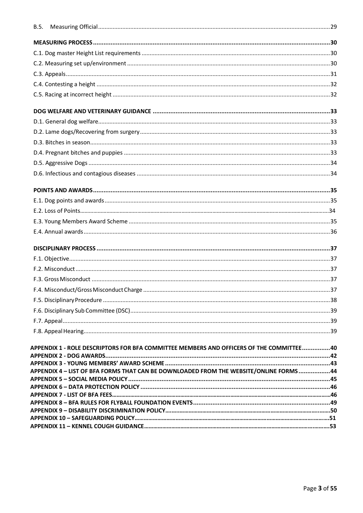<span id="page-2-0"></span>

| B.5.                                                                                    |  |
|-----------------------------------------------------------------------------------------|--|
|                                                                                         |  |
|                                                                                         |  |
|                                                                                         |  |
|                                                                                         |  |
|                                                                                         |  |
|                                                                                         |  |
|                                                                                         |  |
|                                                                                         |  |
|                                                                                         |  |
|                                                                                         |  |
|                                                                                         |  |
|                                                                                         |  |
|                                                                                         |  |
|                                                                                         |  |
|                                                                                         |  |
|                                                                                         |  |
|                                                                                         |  |
|                                                                                         |  |
|                                                                                         |  |
|                                                                                         |  |
|                                                                                         |  |
|                                                                                         |  |
|                                                                                         |  |
|                                                                                         |  |
|                                                                                         |  |
|                                                                                         |  |
|                                                                                         |  |
| APPENDIX 1 - ROLE DESCRIPTORS FOR BFA COMMITTEE MEMBERS AND OFFICERS OF THE COMMITTEE40 |  |
|                                                                                         |  |
| APPENDIX 4 - LIST OF BFA FORMS THAT CAN BE DOWNLOADED FROM THE WEBSITE/ONLINE FORMS44   |  |
|                                                                                         |  |
|                                                                                         |  |
|                                                                                         |  |
|                                                                                         |  |
|                                                                                         |  |
|                                                                                         |  |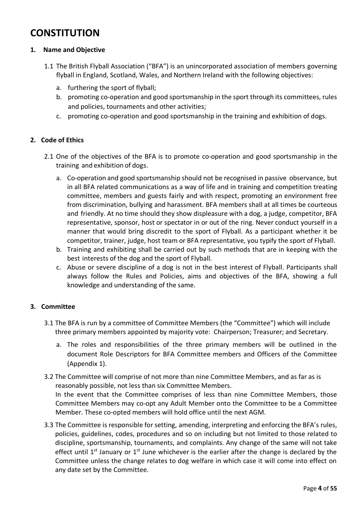# **CONSTITUTION**

#### <span id="page-3-0"></span>**1. Name and Objective**

- 1.1 The British Flyball Association ("BFA") is an unincorporated association of members governing flyball in England, Scotland, Wales, and Northern Ireland with the following objectives:
	- a. furthering the sport of flyball;
	- b. promoting co-operation and good sportsmanship in the sport through its committees, rules and policies, tournaments and other activities;
	- c. promoting co-operation and good sportsmanship in the training and exhibition of dogs.

#### <span id="page-3-1"></span>**2. Code of Ethics**

- 2.1 One of the objectives of the BFA is to promote co-operation and good sportsmanship in the training and exhibition of dogs.
	- a. Co-operation and good sportsmanship should not be recognised in passive observance, but in all BFA related communications as a way of life and in training and competition treating committee, members and guests fairly and with respect, promoting an environment free from discrimination, bullying and harassment. BFA members shall at all times be courteous and friendly. At no time should they show displeasure with a dog, a judge, competitor, BFA representative, sponsor, host or spectator in or out of the ring. Never conduct yourself in a manner that would bring discredit to the sport of Flyball. As a participant whether it be competitor, trainer, judge, host team or BFA representative, you typify the sport of Flyball.
	- b. Training and exhibiting shall be carried out by such methods that are in keeping with the best interests of the dog and the sport of Flyball.
	- c. Abuse or severe discipline of a dog is not in the best interest of Flyball. Participants shall always follow the Rules and Policies, aims and objectives of the BFA, showing a full knowledge and understanding of the same.

# <span id="page-3-2"></span>**3. Committee**

- 3.1 The BFA is run by a committee of Committee Members (the "Committee") which will include three primary members appointed by majority vote: Chairperson; Treasurer; and Secretary.
	- a. The roles and responsibilities of the three primary members will be outlined in the document Role Descriptors for BFA Committee members and Officers of the Committee (Appendix 1).
- 3.2 The Committee will comprise of not more than nine Committee Members, and as far as is reasonably possible, not less than six Committee Members. In the event that the Committee comprises of less than nine Committee Members, those Committee Members may co-opt any Adult Member onto the Committee to be a Committee Member. These co-opted members will hold office until the next AGM.
- 3.3 The Committee is responsible for setting, amending, interpreting and enforcing the BFA's rules, policies, guidelines, codes, procedures and so on including but not limited to those related to discipline, sportsmanship, tournaments, and complaints. Any change of the same will not take effect until 1<sup>st</sup> January or 1<sup>st</sup> June whichever is the earlier after the change is declared by the Committee unless the change relates to dog welfare in which case it will come into effect on any date set by the Committee.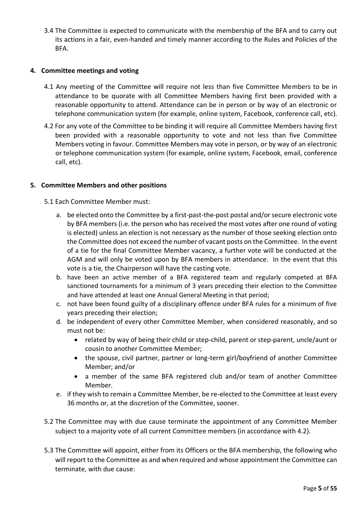3.4 The Committee is expected to communicate with the membership of the BFA and to carry out its actions in a fair, even-handed and timely manner according to the Rules and Policies of the BFA.

#### <span id="page-4-0"></span>**4. Committee meetings and voting**

- 4.1 Any meeting of the Committee will require not less than five Committee Members to be in attendance to be quorate with all Committee Members having first been provided with a reasonable opportunity to attend. Attendance can be in person or by way of an electronic or telephone communication system (for example, online system, Facebook, conference call, etc).
- 4.2 For any vote of the Committee to be binding it will require all Committee Members having first been provided with a reasonable opportunity to vote and not less than five Committee Members voting in favour. Committee Members may vote in person, or by way of an electronic or telephone communication system (for example, online system, Facebook, email, conference call, etc).

#### <span id="page-4-1"></span>**5. Committee Members and other positions**

5.1 Each Committee Member must:

- a. be elected onto the Committee by a first-past-the-post postal and/or secure electronic vote by BFA members (i.e. the person who has received the most votes after one round of voting is elected) unless an election is not necessary as the number of those seeking election onto the Committee does not exceed the number of vacant posts on the Committee. In the event of a tie for the final Committee Member vacancy, a further vote will be conducted at the AGM and will only be voted upon by BFA members in attendance. In the event that this vote is a tie, the Chairperson will have the casting vote.
- b. have been an active member of a BFA registered team and regularly competed at BFA sanctioned tournaments for a minimum of 3 years preceding their election to the Committee and have attended at least one Annual General Meeting in that period;
- c. not have been found guilty of a disciplinary offence under BFA rules for a minimum of five years preceding their election;
- d. be independent of every other Committee Member, when considered reasonably, and so must not be:
	- related by way of being their child or step-child, parent or step-parent, uncle/aunt or cousin to another Committee Member;
	- the spouse, civil partner, partner or long-term girl/boyfriend of another Committee Member; and/or
	- a member of the same BFA registered club and/or team of another Committee Member.
- e. if they wish to remain a Committee Member, be re-elected to the Committee at least every 36 months or, at the discretion of the Committee, sooner.
- 5.2 The Committee may with due cause terminate the appointment of any Committee Member subject to a majority vote of all current Committee members (in accordance with 4.2).
- 5.3 The Committee will appoint, either from its Officers or the BFA membership, the following who will report to the Committee as and when required and whose appointment the Committee can terminate, with due cause: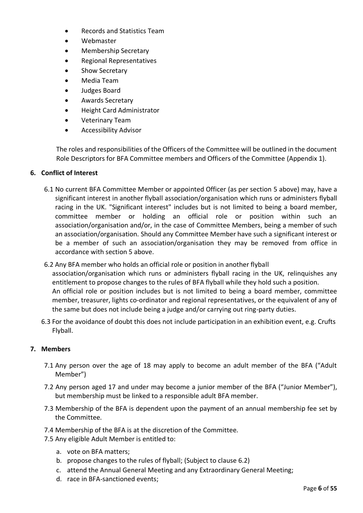- Records and Statistics Team
- Webmaster
- Membership Secretary
- Regional Representatives
- Show Secretary
- Media Team
- Judges Board
- Awards Secretary
- Height Card Administrator
- Veterinary Team
- Accessibility Advisor

The roles and responsibilities of the Officers of the Committee will be outlined in the document Role Descriptors for BFA Committee members and Officers of the Committee (Appendix 1).

#### <span id="page-5-0"></span>**6. Conflict of Interest**

- 6.1 No current BFA Committee Member or appointed Officer (as per section 5 above) may, have a significant interest in another flyball association/organisation which runs or administers flyball racing in the UK. "Significant interest" includes but is not limited to being a board member, committee member or holding an official role or position within such an association/organisation and/or, in the case of Committee Members, being a member of such an association/organisation. Should any Committee Member have such a significant interest or be a member of such an association/organisation they may be removed from office in accordance with section 5 above.
- 6.2 Any BFA member who holds an official role or position in another flyball association/organisation which runs or administers flyball racing in the UK, relinquishes any entitlement to propose changes to the rules of BFA flyball while they hold such a position. An official role or position includes but is not limited to being a board member, committee member, treasurer, lights co-ordinator and regional representatives, or the equivalent of any of the same but does not include being a judge and/or carrying out ring-party duties.
- 6.3 For the avoidance of doubt this does not include participation in an exhibition event, e.g. Crufts Flyball.

#### <span id="page-5-1"></span>**7. Members**

- 7.1 Any person over the age of 18 may apply to become an adult member of the BFA ("Adult Member")
- 7.2 Any person aged 17 and under may become a junior member of the BFA ("Junior Member"), but membership must be linked to a responsible adult BFA member.
- 7.3 Membership of the BFA is dependent upon the payment of an annual membership fee set by the Committee.
- 7.4 Membership of the BFA is at the discretion of the Committee.
- 7.5 Any eligible Adult Member is entitled to:
	- a. vote on BFA matters;
	- b. propose changes to the rules of flyball; (Subject to clause 6.2)
	- c. attend the Annual General Meeting and any Extraordinary General Meeting;
	- d. race in BFA-sanctioned events;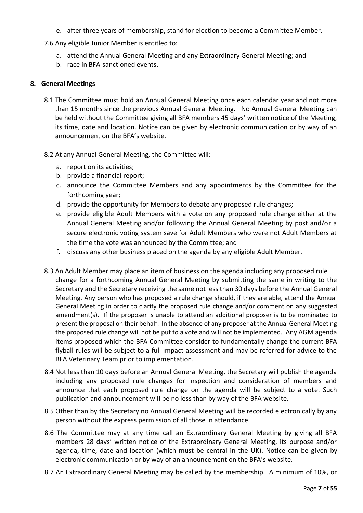- e. after three years of membership, stand for election to become a Committee Member.
- 7.6 Any eligible Junior Member is entitled to:
	- a. attend the Annual General Meeting and any Extraordinary General Meeting; and
	- b. race in BFA-sanctioned events.

#### <span id="page-6-0"></span>**8. General Meetings**

- 8.1 The Committee must hold an Annual General Meeting once each calendar year and not more than 15 months since the previous Annual General Meeting. No Annual General Meeting can be held without the Committee giving all BFA members 45 days' written notice of the Meeting, its time, date and location. Notice can be given by electronic communication or by way of an announcement on the BFA's website.
- 8.2 At any Annual General Meeting, the Committee will:
	- a. report on its activities;
	- b. provide a financial report;
	- c. announce the Committee Members and any appointments by the Committee for the forthcoming year;
	- d. provide the opportunity for Members to debate any proposed rule changes;
	- e. provide eligible Adult Members with a vote on any proposed rule change either at the Annual General Meeting and/or following the Annual General Meeting by post and/or a secure electronic voting system save for Adult Members who were not Adult Members at the time the vote was announced by the Committee; and
	- f. discuss any other business placed on the agenda by any eligible Adult Member.
- 8.3 An Adult Member may place an item of business on the agenda including any proposed rule change for a forthcoming Annual General Meeting by submitting the same in writing to the Secretary and the Secretary receiving the same not less than 30 days before the Annual General Meeting. Any person who has proposed a rule change should, if they are able, attend the Annual General Meeting in order to clarify the proposed rule change and/or comment on any suggested amendment(s). If the proposer is unable to attend an additional proposer is to be nominated to present the proposal on their behalf. In the absence of any proposer at the Annual General Meeting the proposed rule change will not be put to a vote and will not be implemented. Any AGM agenda items proposed which the BFA Committee consider to fundamentally change the current BFA flyball rules will be subject to a full impact assessment and may be referred for advice to the BFA Veterinary Team prior to implementation.
- 8.4 Not less than 10 days before an Annual General Meeting, the Secretary will publish the agenda including any proposed rule changes for inspection and consideration of members and announce that each proposed rule change on the agenda will be subject to a vote. Such publication and announcement will be no less than by way of the BFA website.
- 8.5 Other than by the Secretary no Annual General Meeting will be recorded electronically by any person without the express permission of all those in attendance.
- 8.6 The Committee may at any time call an Extraordinary General Meeting by giving all BFA members 28 days' written notice of the Extraordinary General Meeting, its purpose and/or agenda, time, date and location (which must be central in the UK). Notice can be given by electronic communication or by way of an announcement on the BFA's website.
- 8.7 An Extraordinary General Meeting may be called by the membership. A minimum of 10%, or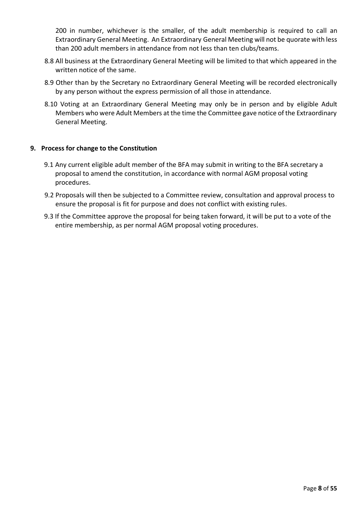200 in number, whichever is the smaller, of the adult membership is required to call an Extraordinary General Meeting. An Extraordinary General Meeting will not be quorate with less than 200 adult members in attendance from not less than ten clubs/teams.

- 8.8 All business at the Extraordinary General Meeting will be limited to that which appeared in the written notice of the same.
- 8.9 Other than by the Secretary no Extraordinary General Meeting will be recorded electronically by any person without the express permission of all those in attendance.
- 8.10 Voting at an Extraordinary General Meeting may only be in person and by eligible Adult Members who were Adult Members at the time the Committee gave notice of the Extraordinary General Meeting.

#### <span id="page-7-0"></span>**9. Process for change to the Constitution**

- 9.1 Any current eligible adult member of the BFA may submit in writing to the BFA secretary a proposal to amend the constitution, in accordance with normal AGM proposal voting procedures.
- 9.2 Proposals will then be subjected to a Committee review, consultation and approval process to ensure the proposal is fit for purpose and does not conflict with existing rules.
- 9.3 If the Committee approve the proposal for being taken forward, it will be put to a vote of the entire membership, as per normal AGM proposal voting procedures.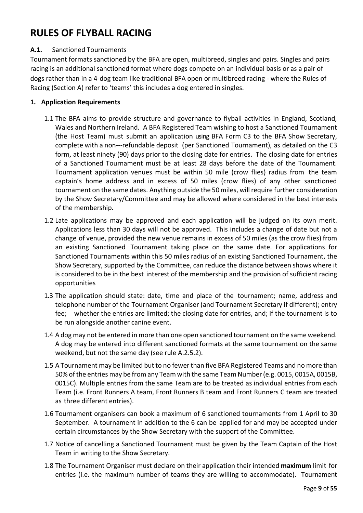# <span id="page-8-0"></span>**RULES OF FLYBALL RACING**

# <span id="page-8-1"></span>**A.1.** Sanctioned Tournaments

Tournament formats sanctioned by the BFA are open, multibreed, singles and pairs. Singles and pairs racing is an additional sanctioned format where dogs compete on an individual basis or as a pair of dogs rather than in a 4-dog team like traditional BFA open or multibreed racing - where the Rules of Racing (Section A) refer to 'teams' this includes a dog entered in singles.

# <span id="page-8-2"></span>**1. Application Requirements**

- 1.1 The BFA aims to provide structure and governance to flyball activities in England, Scotland, Wales and Northern Ireland. A BFA Registered Team wishing to host a Sanctioned Tournament (the Host Team) must submit an application using BFA Form C3 to the BFA Show Secretary, complete with a non-refundable deposit (per Sanctioned Tournament), as detailed on the C3 form, at least ninety (90) days prior to the closing date for entries. The closing date for entries of a Sanctioned Tournament must be at least 28 days before the date of the Tournament. Tournament application venues must be within 50 mile (crow flies) radius from the team captain's home address and in excess of 50 miles (crow flies) of any other sanctioned tournament on the same dates. Anything outside the 50 miles, will require further consideration by the Show Secretary/Committee and may be allowed where considered in the best interests of the membership.
- 1.2 Late applications may be approved and each application will be judged on its own merit. Applications less than 30 days will not be approved. This includes a change of date but not a change of venue, provided the new venue remains in excess of 50 miles (as the crow flies) from an existing Sanctioned Tournament taking place on the same date. For applications for Sanctioned Tournaments within this 50 miles radius of an existing Sanctioned Tournament, the Show Secretary, supported by the Committee, can reduce the distance between shows where it is considered to be in the best interest of the membership and the provision of sufficient racing opportunities
- 1.3 The application should state: date, time and place of the tournament; name, address and telephone number of the Tournament Organiser (and Tournament Secretary if different); entry fee; whether the entries are limited; the closing date for entries, and; if the tournament is to be run alongside another canine event.
- 1.4 A dog may not be entered in more than one open sanctioned tournament on the same weekend. A dog may be entered into different sanctioned formats at the same tournament on the same weekend, but not the same day (see rule A.2.5.2).
- 1.5 A Tournament may be limited but to no fewer than five BFA Registered Teams and no more than 50% of the entries may be from any Team with the same Team Number(e.g. 0015, 0015A, 0015B, 0015C). Multiple entries from the same Team are to be treated as individual entries from each Team (i.e. Front Runners A team, Front Runners B team and Front Runners C team are treated as three different entries).
- 1.6 Tournament organisers can book a maximum of 6 sanctioned tournaments from 1 April to 30 September. A tournament in addition to the 6 can be applied for and may be accepted under certain circumstances by the Show Secretary with the support of the Committee.
- 1.7 Notice of cancelling a Sanctioned Tournament must be given by the Team Captain of the Host Team in writing to the Show Secretary.
- 1.8 The Tournament Organiser must declare on their application their intended **maximum** limit for entries (i.e. the maximum number of teams they are willing to accommodate). Tournament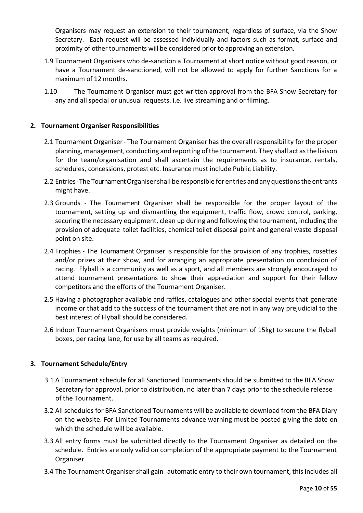Organisers may request an extension to their tournament, regardless of surface, via the Show Secretary. Each request will be assessed individually and factors such as format, surface and proximity of other tournaments will be considered prior to approving an extension.

- 1.9 Tournament Organisers who de-sanction a Tournament at short notice without good reason, or have a Tournament de-sanctioned, will not be allowed to apply for further Sanctions for a maximum of 12 months.
- 1.10 The Tournament Organiser must get written approval from the BFA Show Secretary for any and all special or unusual requests. i.e. live streaming and or filming.

#### <span id="page-9-0"></span>**2. Tournament Organiser Responsibilities**

- 2.1 Tournament Organiser The Tournament Organiser has the overall responsibility for the proper planning, management, conducting and reporting of the tournament. They shall act as the liaison for the team/organisation and shall ascertain the requirements as to insurance, rentals, schedules, concessions, protest etc. Insurance must include Public Liability.
- 2.2 Entries- The Tournament Organisershall be responsible for entries and any questionsthe entrants might have.
- 2.3 Grounds The Tournament Organiser shall be responsible for the proper layout of the tournament, setting up and dismantling the equipment, traffic flow, crowd control, parking, securing the necessary equipment, clean up during and following the tournament, including the provision of adequate toilet facilities, chemical toilet disposal point and general waste disposal point on site.
- 2.4 Trophies The Tournament Organiser is responsible for the provision of any trophies, rosettes and/or prizes at their show, and for arranging an appropriate presentation on conclusion of racing. Flyball is a community as well as a sport, and all members are strongly encouraged to attend tournament presentations to show their appreciation and support for their fellow competitors and the efforts of the Tournament Organiser.
- 2.5 Having a photographer available and raffles, catalogues and other special events that generate income or that add to the success of the tournament that are not in any way prejudicial to the best interest of Flyball should be considered.
- 2.6 Indoor Tournament Organisers must provide weights (minimum of 15kg) to secure the flyball boxes, per racing lane, for use by all teams as required.

#### <span id="page-9-1"></span>**3. Tournament Schedule/Entry**

- 3.1 A Tournament schedule for all Sanctioned Tournaments should be submitted to the BFA Show Secretary for approval, prior to distribution, no later than 7 days prior to the schedule release of the Tournament.
- 3.2 Allschedules for BFA Sanctioned Tournaments will be available to download from the BFA Diary on the website. For Limited Tournaments advance warning must be posted giving the date on which the schedule will be available.
- 3.3 All entry forms must be submitted directly to the Tournament Organiser as detailed on the schedule. Entries are only valid on completion of the appropriate payment to the Tournament Organiser.
- 3.4 The Tournament Organiser shall gain automatic entry to their own tournament, this includes all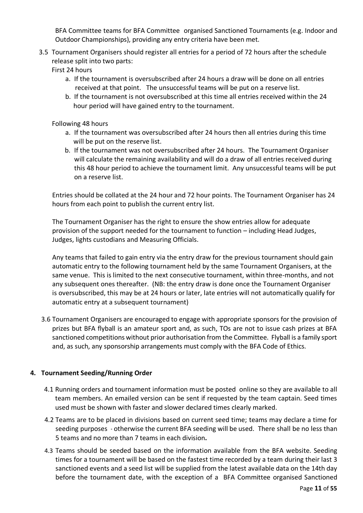BFA Committee teams for BFA Committee organised Sanctioned Tournaments (e.g. Indoor and Outdoor Championships), providing any entry criteria have been met.

3.5 Tournament Organisers should register all entries for a period of 72 hours after the schedule release split into two parts:

First 24 hours

- a. If the tournament is oversubscribed after 24 hours a draw will be done on all entries received at that point. The unsuccessful teams will be put on a reserve list.
- b. If the tournament is not oversubscribed at this time all entries received within the 24 hour period will have gained entry to the tournament.

Following 48 hours

- a. If the tournament was oversubscribed after 24 hours then all entries during this time will be put on the reserve list.
- b. If the tournament was not oversubscribed after 24 hours. The Tournament Organiser will calculate the remaining availability and will do a draw of all entries received during this 48 hour period to achieve the tournament limit. Any unsuccessful teams will be put on a reserve list.

Entries should be collated at the 24 hour and 72 hour points. The Tournament Organiser has 24 hours from each point to publish the current entry list.

The Tournament Organiser has the right to ensure the show entries allow for adequate provision of the support needed for the tournament to function – including Head Judges, Judges, lights custodians and Measuring Officials.

Any teams that failed to gain entry via the entry draw for the previous tournament should gain automatic entry to the following tournament held by the same Tournament Organisers, at the same venue. This is limited to the next consecutive tournament, within three-months, and not any subsequent ones thereafter. (NB: the entry draw is done once the Tournament Organiser is oversubscribed, this may be at 24 hours or later, late entries will not automatically qualify for automatic entry at a subsequent tournament)

3.6 Tournament Organisers are encouraged to engage with appropriate sponsors for the provision of prizes but BFA flyball is an amateur sport and, as such, TOs are not to issue cash prizes at BFA sanctioned competitions without prior authorisation from the Committee. Flyball is a family sport and, as such, any sponsorship arrangements must comply with the BFA Code of Ethics.

# <span id="page-10-0"></span>**4. Tournament Seeding/Running Order**

- 4.1 Running orders and tournament information must be posted online so they are available to all team members. An emailed version can be sent if requested by the team captain. Seed times used must be shown with faster and slower declared times clearly marked.
- 4.2 Teams are to be placed in divisions based on current seed time; teams may declare a time for seeding purposes - otherwise the current BFA seeding will be used. There shall be no less than 5 teams and no more than 7 teams in each division**.**
- 4.3 Teams should be seeded based on the information available from the BFA website. Seeding times for a tournament will be based on the fastest time recorded by a team during their last 3 sanctioned events and a seed list will be supplied from the latest available data on the 14th day before the tournament date, with the exception of a BFA Committee organised Sanctioned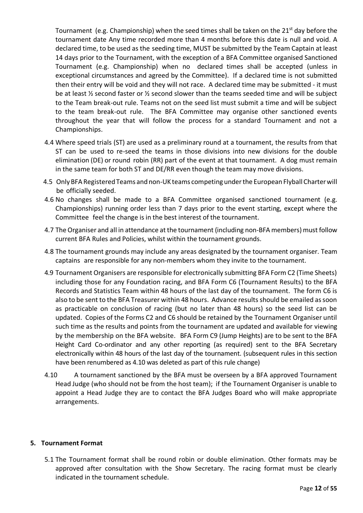Tournament (e.g. Championship) when the seed times shall be taken on the 21st day before the tournament date Any time recorded more than 4 months before this date is null and void. A declared time, to be used as the seeding time, MUST be submitted by the Team Captain at least 14 days prior to the Tournament, with the exception of a BFA Committee organised Sanctioned Tournament (e.g. Championship) when no declared times shall be accepted (unless in exceptional circumstances and agreed by the Committee). If a declared time is not submitted then their entry will be void and they will not race. A declared time may be submitted - it must be at least ½ second faster or ½ second slower than the teams seeded time and will be subject to the Team break-out rule. Teams not on the seed list must submit a time and will be subject to the team break-out rule. The BFA Committee may organise other sanctioned events throughout the year that will follow the process for a standard Tournament and not a Championships.

- 4.4 Where speed trials (ST) are used as a preliminary round at a tournament, the results from that ST can be used to re-seed the teams in those divisions into new divisions for the double elimination (DE) or round robin (RR) part of the event at that tournament. A dog must remain in the same team for both ST and DE/RR even though the team may move divisions.
- 4.5 Only BFA Registered Teams and non-UK teams competing under the European Flyball Charter will be officially seeded.
- 4.6 No changes shall be made to a BFA Committee organised sanctioned tournament (e.g. Championships) running order less than 7 days prior to the event starting, except where the Committee feel the change is in the best interest of the tournament.
- 4.7 The Organiser and all in attendance at the tournament (including non-BFA members) must follow current BFA Rules and Policies, whilst within the tournament grounds.
- 4.8 The tournament grounds may include any areas designated by the tournament organiser. Team captains are responsible for any non-members whom they invite to the tournament.
- 4.9 Tournament Organisers are responsible for electronically submitting BFA Form C2 (Time Sheets) including those for any Foundation racing, and BFA Form C6 (Tournament Results) to the BFA Records and Statistics Team within 48 hours of the last day of the tournament. The form C6 is also to be sent to the BFA Treasurer within 48 hours. Advance results should be emailed as soon as practicable on conclusion of racing (but no later than 48 hours) so the seed list can be updated. Copies of the Forms C2 and C6 should be retained by the Tournament Organiser until such time as the results and points from the tournament are updated and available for viewing by the membership on the BFA website. BFA Form C9 (Jump Heights) are to be sent to the BFA Height Card Co-ordinator and any other reporting (as required) sent to the BFA Secretary electronically within 48 hours of the last day of the tournament. (subsequent rules in this section have been renumbered as 4.10 was deleted as part of this rule change)
- 4.10 A tournament sanctioned by the BFA must be overseen by a BFA approved Tournament Head Judge (who should not be from the host team); if the Tournament Organiser is unable to appoint a Head Judge they are to contact the BFA Judges Board who will make appropriate arrangements.

#### <span id="page-11-0"></span>**5. Tournament Format**

5.1 The Tournament format shall be round robin or double elimination. Other formats may be approved after consultation with the Show Secretary. The racing format must be clearly indicated in the tournament schedule.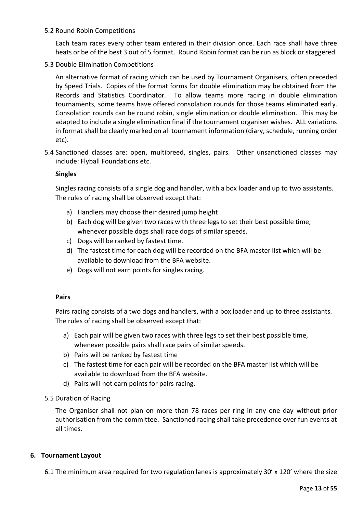#### 5.2 Round Robin Competitions

 Each team races every other team entered in their division once. Each race shall have three heats or be of the best 3 out of 5 format. Round Robin format can be run as block or staggered.

5.3 Double Elimination Competitions

 An alternative format of racing which can be used by Tournament Organisers, often preceded by Speed Trials. Copies of the format forms for double elimination may be obtained from the Records and Statistics Coordinator. To allow teams more racing in double elimination tournaments, some teams have offered consolation rounds for those teams eliminated early. Consolation rounds can be round robin, single elimination or double elimination. This may be adapted to include a single elimination final if the tournament organiser wishes. ALL variations in format shall be clearly marked on all tournament information (diary, schedule, running order etc).

5.4 Sanctioned classes are: open, multibreed, singles, pairs. Other unsanctioned classes may include: Flyball Foundations etc.

#### **Singles**

Singles racing consists of a single dog and handler, with a box loader and up to two assistants. The rules of racing shall be observed except that:

- a) Handlers may choose their desired jump height.
- b) Each dog will be given two races with three legs to set their best possible time, whenever possible dogs shall race dogs of similar speeds.
- c) Dogs will be ranked by fastest time.
- d) The fastest time for each dog will be recorded on the BFA master list which will be available to download from the BFA website.
- e) Dogs will not earn points for singles racing.

#### **Pairs**

Pairs racing consists of a two dogs and handlers, with a box loader and up to three assistants. The rules of racing shall be observed except that:

- a) Each pair will be given two races with three legs to set their best possible time, whenever possible pairs shall race pairs of similar speeds.
- b) Pairs will be ranked by fastest time
- c) The fastest time for each pair will be recorded on the BFA master list which will be available to download from the BFA website.
- d) Pairs will not earn points for pairs racing.

#### 5.5 Duration of Racing

 The Organiser shall not plan on more than 78 races per ring in any one day without prior authorisation from the committee. Sanctioned racing shall take precedence over fun events at all times.

#### <span id="page-12-0"></span>**6. Tournament Layout**

6.1 The minimum area required for two regulation lanes is approximately 30' x 120' where the size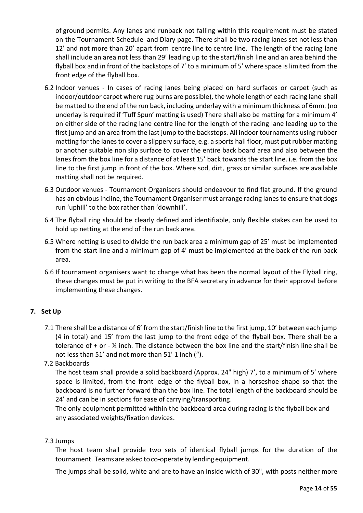of ground permits. Any lanes and runback not falling within this requirement must be stated on the Tournament Schedule and Diary page. There shall be two racing lanes set not less than 12' and not more than 20' apart from centre line to centre line. The length of the racing lane shall include an area not less than 29' leading up to the start/finish line and an area behind the flyball box and in front of the backstops of 7' to a minimum of 5' where space is limited from the front edge of the flyball box.

- 6.2 Indoor venues In cases of racing lanes being placed on hard surfaces or carpet (such as indoor/outdoor carpet where rug burns are possible), the whole length of each racing lane shall be matted to the end of the run back, including underlay with a minimum thickness of 6mm. (no underlay is required if 'Tuff Spun' matting is used) There shall also be matting for a minimum 4' on either side of the racing lane centre line for the length of the racing lane leading up to the first jump and an area from the last jump to the backstops. All indoor tournaments using rubber matting for the lanes to cover a slippery surface, e.g. a sports hall floor, must put rubber matting or another suitable non slip surface to cover the entire back board area and also between the lanes from the box line for a distance of at least 15' back towards the start line. i.e. from the box line to the first jump in front of the box. Where sod, dirt, grass or similar surfaces are available matting shall not be required.
- 6.3 Outdoor venues Tournament Organisers should endeavour to find flat ground. If the ground has an obvious incline, the Tournament Organiser must arrange racing lanes to ensure that dogs run 'uphill' to the box rather than 'downhill'.
- 6.4 The flyball ring should be clearly defined and identifiable, only flexible stakes can be used to hold up netting at the end of the run back area.
- 6.5 Where netting is used to divide the run back area a minimum gap of 25' must be implemented from the start line and a minimum gap of 4' must be implemented at the back of the run back area.
- 6.6 If tournament organisers want to change what has been the normal layout of the Flyball ring, these changes must be put in writing to the BFA secretary in advance for their approval before implementing these changes.

# <span id="page-13-0"></span>**7. Set Up**

- 7.1 There shall be a distance of 6' from the start/finish line to the first jump, 10' between each jump (4 in total) and 15' from the last jump to the front edge of the flyball box. There shall be a tolerance of + or - ¼ inch. The distance between the box line and the start/finish line shall be not less than 51' and not more than 51' 1 inch (").
- 7.2 Backboards

The host team shall provide a solid backboard (Approx. 24" high) 7', to a minimum of 5' where space is limited, from the front edge of the flyball box, in a horseshoe shape so that the backboard is no further forward than the box line. The total length of the backboard should be 24' and can be in sections for ease of carrying/transporting.

The only equipment permitted within the backboard area during racing is the flyball box and any associated weights/fixation devices.

7.3 Jumps

The host team shall provide two sets of identical flyball jumps for the duration of the tournament. Teams are asked to co-operate by lending equipment.

The jumps shall be solid, white and are to have an inside width of 30", with posts neither more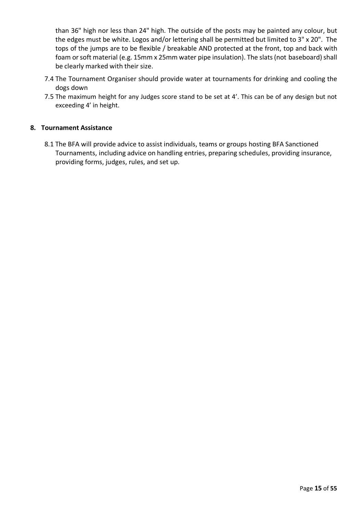than 36" high nor less than 24" high. The outside of the posts may be painted any colour, but the edges must be white. Logos and/or lettering shall be permitted but limited to 3" x 20". The tops of the jumps are to be flexible / breakable AND protected at the front, top and back with foam or soft material (e.g. 15mm x 25mm water pipe insulation). The slats (not baseboard) shall be clearly marked with their size.

- 7.4 The Tournament Organiser should provide water at tournaments for drinking and cooling the dogs down
- 7.5 The maximum height for any Judges score stand to be set at 4'. This can be of any design but not exceeding 4' in height.

#### <span id="page-14-0"></span>**8. Tournament Assistance**

8.1 The BFA will provide advice to assist individuals, teams or groups hosting BFA Sanctioned Tournaments, including advice on handling entries, preparing schedules, providing insurance, providing forms, judges, rules, and set up.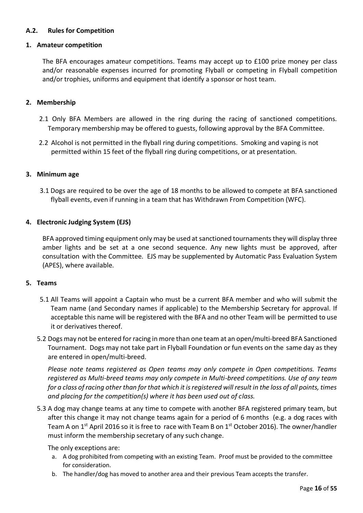### <span id="page-15-0"></span>**A.2. Rules for Competition**

#### <span id="page-15-1"></span>**1. Amateur competition**

The BFA encourages amateur competitions. Teams may accept up to £100 prize money per class and/or reasonable expenses incurred for promoting Flyball or competing in Flyball competition and/or trophies, uniforms and equipment that identify a sponsor or host team.

#### <span id="page-15-2"></span>**2. Membership**

- 2.1 Only BFA Members are allowed in the ring during the racing of sanctioned competitions. Temporary membership may be offered to guests, following approval by the BFA Committee.
- 2.2 Alcohol is not permitted in the flyball ring during competitions. Smoking and vaping is not permitted within 15 feet of the flyball ring during competitions, or at presentation.

#### <span id="page-15-3"></span>**3. Minimum age**

3.1 Dogs are required to be over the age of 18 months to be allowed to compete at BFA sanctioned flyball events, even if running in a team that has Withdrawn From Competition (WFC).

#### <span id="page-15-4"></span>**4. Electronic Judging System (EJS)**

BFA approved timing equipment only may be used at sanctioned tournaments they will display three amber lights and be set at a one second sequence. Any new lights must be approved, after consultation with the Committee. EJS may be supplemented by Automatic Pass Evaluation System (APES), where available.

#### <span id="page-15-5"></span>**5. Teams**

- 5.1 All Teams will appoint a Captain who must be a current BFA member and who will submit the Team name (and Secondary names if applicable) to the Membership Secretary for approval. If acceptable this name will be registered with the BFA and no other Team will be permitted to use it or derivatives thereof.
- 5.2 Dogs may not be entered for racing in more than one team at an open/multi-breed BFA Sanctioned Tournament. Dogs may not take part in Flyball Foundation or fun events on the same day as they are entered in open/multi-breed.

*Please note teams registered as Open teams may only compete in Open competitions. Teams registered as Multi-breed teams may only compete in Multi-breed competitions. Use of any team for a class of racing other than for that which it is registered will result in the loss of all points, times and placing for the competition(s) where it has been used out of class.*

5.3 A dog may change teams at any time to compete with another BFA registered primary team, but after this change it may not change teams again for a period of 6 months (e.g. a dog races with Team A on 1<sup>st</sup> April 2016 so it is free to race with Team B on 1<sup>st</sup> October 2016). The owner/handler must inform the membership secretary of any such change.

The only exceptions are:

- a. A dog prohibited from competing with an existing Team. Proof must be provided to the committee for consideration.
- b. The handler/dog has moved to another area and their previous Team accepts the transfer.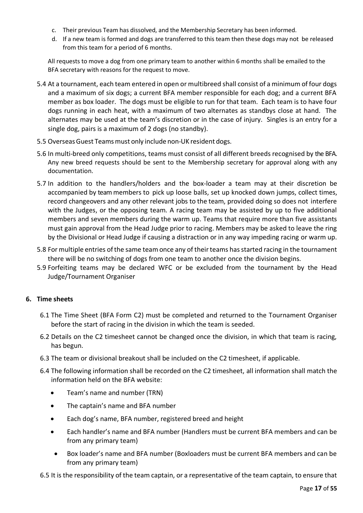- c. Their previous Team has dissolved, and the Membership Secretary has been informed.
- d. If a new team is formed and dogs are transferred to this team then these dogs may not be released from this team for a period of 6 months.

All requests to move a dog from one primary team to another within 6 months shall be emailed to the BFA secretary with reasons for the request to move.

- 5.4 At a tournament, each team entered in open or multibreed shall consist of a minimum of four dogs and a maximum of six dogs; a current BFA member responsible for each dog; and a current BFA member as box loader. The dogs must be eligible to run for that team. Each team is to have four dogs running in each heat, with a maximum of two alternates as standbys close at hand. The alternates may be used at the team's discretion or in the case of injury. Singles is an entry for a single dog, pairs is a maximum of 2 dogs (no standby).
- 5.5 Overseas Guest Teams must only include non-UK resident dogs.
- 5.6 In multi-breed only competitions, teams must consist of all different breeds recognised by the BFA. Any new breed requests should be sent to the Membership secretary for approval along with any documentation.
- 5.7 In addition to the handlers/holders and the box-loader a team may at their discretion be accompanied by team members to pick up loose balls, set up knocked down jumps, collect times, record changeovers and any other relevant jobs to the team, provided doing so does not interfere with the Judges, or the opposing team. A racing team may be assisted by up to five additional members and seven members during the warm up. Teams that require more than five assistants must gain approval from the Head Judge prior to racing. Members may be asked to leave the ring by the Divisional or Head Judge if causing a distraction or in any way impeding racing or warm up.
- 5.8 For multiple entries of the same team once any of their teams has started racing in the tournament there will be no switching of dogs from one team to another once the division begins.
- 5.9 Forfeiting teams may be declared WFC or be excluded from the tournament by the Head Judge/Tournament Organiser

# <span id="page-16-0"></span>**6. Time sheets**

- 6.1 The Time Sheet (BFA Form C2) must be completed and returned to the Tournament Organiser before the start of racing in the division in which the team is seeded.
- 6.2 Details on the C2 timesheet cannot be changed once the division, in which that team is racing, has begun.
- 6.3 The team or divisional breakout shall be included on the C2 timesheet, if applicable.
- 6.4 The following information shall be recorded on the C2 timesheet, all information shall match the information held on the BFA website:
	- Team's name and number (TRN)
	- The captain's name and BFA number
	- Each dog's name, BFA number, registered breed and height
	- Each handler's name and BFA number (Handlers must be current BFA members and can be from any primary team)
	- Box loader's name and BFA number (Boxloaders must be current BFA members and can be from any primary team)

6.5 It is the responsibility of the team captain, or a representative of the team captain, to ensure that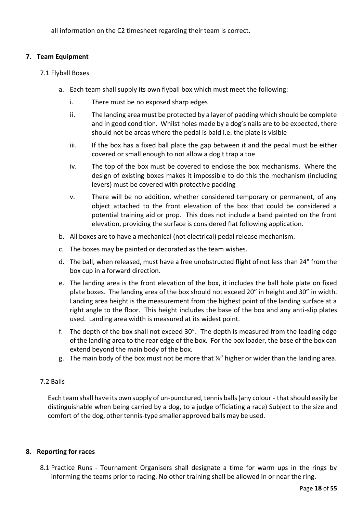all information on the C2 timesheet regarding their team is correct.

#### <span id="page-17-0"></span>**7. Team Equipment**

#### 7.1 Flyball Boxes

- a. Each team shall supply its own flyball box which must meet the following:
	- i. There must be no exposed sharp edges
	- ii. The landing area must be protected by a layer of padding which should be complete and in good condition. Whilst holes made by a dog's nails are to be expected, there should not be areas where the pedal is bald i.e. the plate is visible
	- iii. If the box has a fixed ball plate the gap between it and the pedal must be either covered or small enough to not allow a dog t trap a toe
	- iv. The top of the box must be covered to enclose the box mechanisms. Where the design of existing boxes makes it impossible to do this the mechanism (including levers) must be covered with protective padding
	- v. There will be no addition, whether considered temporary or permanent, of any object attached to the front elevation of the box that could be considered a potential training aid or prop. This does not include a band painted on the front elevation, providing the surface is considered flat following application.
- b. All boxes are to have a mechanical (not electrical) pedal release mechanism.
- c. The boxes may be painted or decorated as the team wishes.
- d. The ball, when released, must have a free unobstructed flight of not less than 24" from the box cup in a forward direction.
- e. The landing area is the front elevation of the box, it includes the ball hole plate on fixed plate boxes. The landing area of the box should not exceed 20" in height and 30" in width. Landing area height is the measurement from the highest point of the landing surface at a right angle to the floor. This height includes the base of the box and any anti-slip plates used. Landing area width is measured at its widest point.
- f. The depth of the box shall not exceed 30". The depth is measured from the leading edge of the landing area to the rear edge of the box. For the box loader, the base of the box can extend beyond the main body of the box.
- g. The main body of the box must not be more that  $\frac{1}{4}$  higher or wider than the landing area.

# 7.2 Balls

Each team shall have its own supply of un-punctured, tennis balls (any colour - that should easily be distinguishable when being carried by a dog, to a judge officiating a race) Subject to the size and comfort of the dog, other tennis-type smaller approved balls may be used.

# <span id="page-17-1"></span>**8. Reporting for races**

8.1 Practice Runs - Tournament Organisers shall designate a time for warm ups in the rings by informing the teams prior to racing. No other training shall be allowed in or near the ring.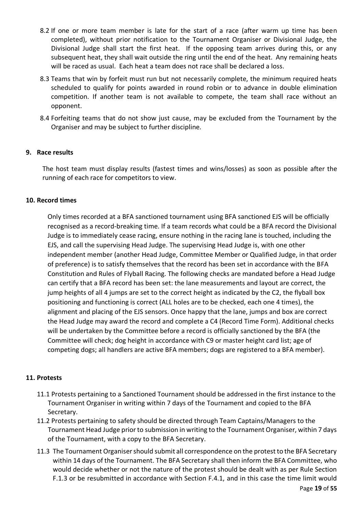- 8.2 If one or more team member is late for the start of a race (after warm up time has been completed), without prior notification to the Tournament Organiser or Divisional Judge, the Divisional Judge shall start the first heat. If the opposing team arrives during this, or any subsequent heat, they shall wait outside the ring until the end of the heat. Any remaining heats will be raced as usual. Each heat a team does not race shall be declared a loss.
- 8.3 Teams that win by forfeit must run but not necessarily complete, the minimum required heats scheduled to qualify for points awarded in round robin or to advance in double elimination competition. If another team is not available to compete, the team shall race without an opponent.
- 8.4 Forfeiting teams that do not show just cause, may be excluded from the Tournament by the Organiser and may be subject to further discipline.

#### <span id="page-18-0"></span>**9. Race results**

The host team must display results (fastest times and wins/losses) as soon as possible after the running of each race for competitors to view.

#### <span id="page-18-1"></span>**10. Record times**

Only times recorded at a BFA sanctioned tournament using BFA sanctioned EJS will be officially recognised as a record-breaking time. If a team records what could be a BFA record the Divisional Judge is to immediately cease racing, ensure nothing in the racing lane is touched, including the EJS, and call the supervising Head Judge. The supervising Head Judge is, with one other independent member (another Head Judge, Committee Member or Qualified Judge, in that order of preference) is to satisfy themselves that the record has been set in accordance with the BFA Constitution and Rules of Flyball Racing. The following checks are mandated before a Head Judge can certify that a BFA record has been set: the lane measurements and layout are correct, the jump heights of all 4 jumps are set to the correct height as indicated by the C2, the flyball box positioning and functioning is correct (ALL holes are to be checked, each one 4 times), the alignment and placing of the EJS sensors. Once happy that the lane, jumps and box are correct the Head Judge may award the record and complete a C4 (Record Time Form). Additional checks will be undertaken by the Committee before a record is officially sanctioned by the BFA (the Committee will check; dog height in accordance with C9 or master height card list; age of competing dogs; all handlers are active BFA members; dogs are registered to a BFA member).

# <span id="page-18-2"></span>**11. Protests**

- 11.1 Protests pertaining to a Sanctioned Tournament should be addressed in the first instance to the Tournament Organiser in writing within 7 days of the Tournament and copied to the BFA Secretary.
- 11.2 Protests pertaining to safety should be directed through Team Captains/Managers to the Tournament Head Judge prior to submission in writing to the Tournament Organiser, within 7 days of the Tournament, with a copy to the BFA Secretary.
- 11.3 The Tournament Organiser should submit all correspondence on the protest to the BFA Secretary within 14 days of the Tournament. The BFA Secretary shall then inform the BFA Committee, who would decide whether or not the nature of the protest should be dealt with as per Rule Section F.1.3 or be resubmitted in accordance with Section F.4.1, and in this case the time limit would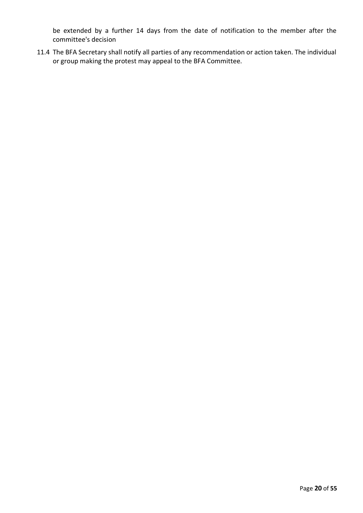be extended by a further 14 days from the date of notification to the member after the committee's decision

11.4 The BFA Secretary shall notify all parties of any recommendation or action taken. The individual or group making the protest may appeal to the BFA Committee.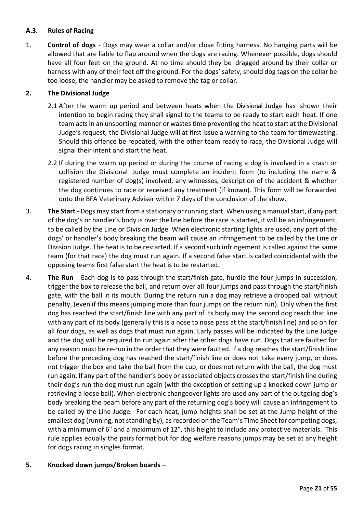# <span id="page-20-0"></span>**A.3. Rules of Racing**

<span id="page-20-1"></span>1. **Control of dogs** - Dogs may wear a collar and/or close fitting harness. No hanging parts will be allowed that are liable to flap around when the dogs are racing. Whenever possible, dogs should have all four feet on the ground. At no time should they be dragged around by their collar or harness with any of their feet off the ground. For the dogs' safety, should dog tags on the collar be too loose, the handler may be asked to remove the tag or collar.

# <span id="page-20-2"></span>**2. The Divisional Judge**

- 2.1 After the warm up period and between heats when the Divisional Judge has shown their intention to begin racing they shall signal to the teams to be ready to start each heat. If one team acts in an unsporting manner or wastes time preventing the heat to start at the Divisional Judge's request, the Divisional Judge will at first issue a warning to the team for timewasting. Should this offence be repeated, with the other team ready to race, the Divisional Judge will signal their intent and start the heat.
- 2.2 If during the warm up period or during the course of racing a dog is involved in a crash or collision the Divisional Judge must complete an incident form (to including the name & registered number of dog(s) involved, any witnesses, description of the accident & whether the dog continues to race or received any treatment (if known). This form will be forwarded onto the BFA Veterinary Adviser within 7 days of the conclusion of the show.
- <span id="page-20-3"></span>3. **The Start** - Dogs may start from a stationary orrunning start. When using a manualstart, if any part of the dog's or handler's body is over the line before the race is started, it will be an infringement, to be called by the Line or Division Judge. When electronic starting lights are used, any part of the dogs' or handler's body breaking the beam will cause an infringement to be called by the Line or Division Judge. The heat is to be restarted. If a second such infringement is called against the same team (for that race) the dog must run again. If a second false start is called coincidental with the opposing teams first false start the heat is to be restarted.
- <span id="page-20-4"></span>4. **The Run** - Each dog is to pass through the start/finish gate, hurdle the four jumps in succession, trigger the box to release the ball, and return over all four jumps and pass through the start/finish gate, with the ball in its mouth. During the return run a dog may retrieve a dropped ball without penalty, (even if this means jumping more than four jumps on the return run). Only when the first dog has reached the start/finish line with any part of its body may the second dog reach that line with any part of its body (generally this is a nose to nose pass at the start/finish line) and so on for all four dogs, as well as dogs that must run again. Early passes will be indicated by the Line Judge and the dog will be required to run again after the other dogs have run. Dogs that are faulted for any reason must be re-run in the order that they were faulted. If a dog reaches the start/finish line before the preceding dog has reached the start/finish line or does not take every jump, or does not trigger the box and take the ball from the cup, or does not return with the ball, the dog must run again. If any part of the handler's body or associated objects crosses the start/finish line during their dog's run the dog must run again (with the exception of setting up a knocked down jump or retrieving a loose ball). When electronic changeover lights are used any part of the outgoing dog's body breaking the beam before any part of the returning dog's body will cause an infringement to be called by the Line Judge. For each heat, jump heights shall be set at the Jump height of the smallest dog (running, not standing by), as recorded on the Team's Time Sheet for competing dogs, with a minimum of 6" and a maximum of 12", this height to include any protective materials. This rule applies equally the pairs format but for dog welfare reasons jumps may be set at any height for dogs racing in singles format.

# <span id="page-20-5"></span>**5. Knocked down jumps/Broken boards –**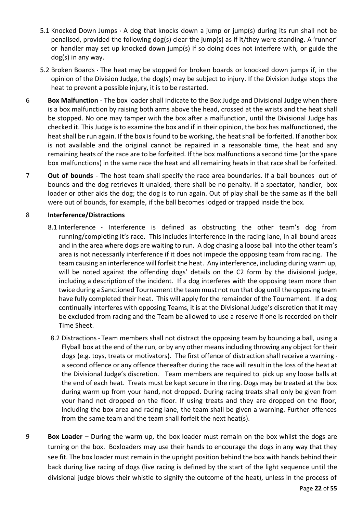- 5.1 Knocked Down Jumps **-** A dog that knocks down a jump or jump(s) during its run shall not be penalised, provided the following dog(s) clear the jump(s) as if it/they were standing. A 'runner' or handler may set up knocked down jump(s) if so doing does not interfere with, or guide the dog(s) in any way.
- 5.2 Broken Boards **-** The heat may be stopped for broken boards or knocked down jumps if, in the opinion of the Division Judge, the dog(s) may be subject to injury. If the Division Judge stops the heat to prevent a possible injury, it is to be restarted.
- <span id="page-21-0"></span>6 **Box Malfunction** - The box loader shall indicate to the Box Judge and Divisional Judge when there is a box malfunction by raising both arms above the head, crossed at the wrists and the heat shall be stopped. No one may tamper with the box after a malfunction, until the Divisional Judge has checked it. This Judge is to examine the box and if in their opinion, the box has malfunctioned, the heat shall be run again. If the box is found to be working, the heat shall be forfeited. If another box is not available and the original cannot be repaired in a reasonable time, the heat and any remaining heats of the race are to be forfeited. If the box malfunctions a second time (or the spare box malfunctions) in the same race the heat and all remaining heats in that race shall be forfeited.
- <span id="page-21-1"></span>7 **Out of bounds** - The host team shall specify the race area boundaries. If a ball bounces out of bounds and the dog retrieves it unaided, there shall be no penalty. If a spectator, handler, box loader or other aids the dog; the dog is to run again. Out of play shall be the same as if the ball were out of bounds, for example, if the ball becomes lodged or trapped inside the box.

#### 8 **Interference/Distractions**

- 8.1 Interference **-** Interference is defined as obstructing the other team's dog from running/completing it's race. This includes interference in the racing lane, in all bound areas and in the area where dogs are waiting to run. A dog chasing a loose ball into the other team's area is not necessarily interference if it does not impede the opposing team from racing. The team causing an interference will forfeit the heat. Any interference, including during warm up, will be noted against the offending dogs' details on the C2 form by the divisional judge, including a description of the incident. If a dog interferes with the opposing team more than twice during a Sanctioned Tournament the team must not run that dog until the opposing team have fully completed their heat. This will apply for the remainder of the Tournament. If a dog continually interferes with opposing Teams, it is at the Divisional Judge's discretion that it may be excluded from racing and the Team be allowed to use a reserve if one is recorded on their Time Sheet.
- 8.2 Distractions **-** Team members shall not distract the opposing team by bouncing a ball, using a Flyball box at the end of the run, or by any other means including throwing any object for their dogs (e.g. toys, treats or motivators). The first offence of distraction shall receive a warning a second offence or any offence thereafter during the race will result in the loss of the heat at the Divisional Judge's discretion. Team members are required to pick up any loose balls at the end of each heat. Treats must be kept secure in the ring. Dogs may be treated at the box during warm up from your hand, not dropped. During racing treats shall only be given from your hand not dropped on the floor. If using treats and they are dropped on the floor, including the box area and racing lane, the team shall be given a warning. Further offences from the same team and the team shall forfeit the next heat(s).
- <span id="page-21-2"></span>9 **Box Loader** – During the warm up, the box loader must remain on the box whilst the dogs are turning on the box. Boxloaders may use their hands to encourage the dogs in any way that they see fit. The box loader must remain in the upright position behind the box with hands behind their back during live racing of dogs (live racing is defined by the start of the light sequence until the divisional judge blows their whistle to signify the outcome of the heat), unless in the process of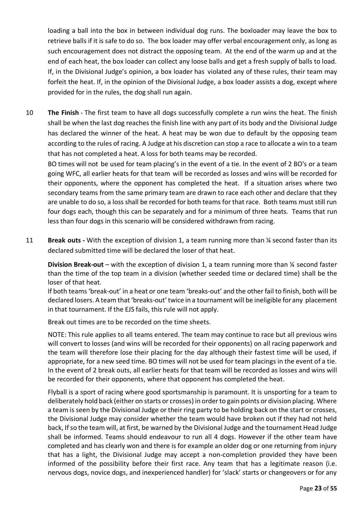loading a ball into the box in between individual dog runs. The boxloader may leave the box to retrieve balls if it is safe to do so. The box loader may offer verbal encouragement only, as long as such encouragement does not distract the opposing team. At the end of the warm up and at the end of each heat, the box loader can collect any loose balls and get a fresh supply of balls to load. If, in the Divisional Judge's opinion, a box loader has violated any of these rules, their team may forfeit the heat. If, in the opinion of the Divisional Judge, a box loader assists a dog, except where provided for in the rules, the dog shall run again.

<span id="page-22-0"></span>10 **The Finish -** The first team to have all dogs successfully complete a run wins the heat. The finish shall be when the last dog reaches the finish line with any part of its body and the Divisional Judge has declared the winner of the heat. A heat may be won due to default by the opposing team according to the rules of racing. A Judge at his discretion can stop a race to allocate a win to a team that has not completed a heat. A loss for both teams may be recorded.

BO times will not be used for team placing's in the event of a tie. In the event of 2 BO's or a team going WFC, all earlier heats for that team will be recorded as losses and wins will be recorded for their opponents, where the opponent has completed the heat. If a situation arises where two secondary teams from the same primary team are drawn to race each other and declare that they are unable to do so, a loss shall be recorded for both teams for that race. Both teams must still run four dogs each, though this can be separately and for a minimum of three heats. Teams that run less than four dogs in this scenario will be considered withdrawn from racing.

<span id="page-22-1"></span>11 **Break outs -** With the exception of division 1, a team running more than ¼ second faster than its declared submitted time will be declared the loser of that heat.

**Division Break-out** – with the exception of division 1, a team running more than ¼ second faster than the time of the top team in a division (whether seeded time or declared time) shall be the loser of that heat.

If both teams 'break-out' in a heat or one team 'breaks-out' and the other fail to finish, both will be declared losers. A team that 'breaks-out' twice in a tournament will be ineligible for any placement in that tournament. If the EJS fails, this rule will not apply.

Break out times are to be recorded on the time sheets.

NOTE: This rule applies to all teams entered. The team may continue to race but all previous wins will convert to losses (and wins will be recorded for their opponents) on all racing paperwork and the team will therefore lose their placing for the day although their fastest time will be used, if appropriate, for a new seed time. BO times will not be used for team placings in the event of a tie. In the event of 2 break outs, all earlier heats for that team will be recorded as losses and wins will be recorded for their opponents, where that opponent has completed the heat.

Flyball is a sport of racing where good sportsmanship is paramount. It is unsporting for a team to deliberately hold back (either on starts or crosses) in order to gain points or division placing. Where a team is seen by the Divisional Judge or their ring party to be holding back on the start or crosses, the Divisional Judge may consider whether the team would have broken out if they had not held back, If so the team will, at first, be warned by the Divisional Judge and the tournament Head Judge shall be informed. Teams should endeavour to run all 4 dogs. However if the other team have completed and has clearly won and there is for example an older dog or one returning from injury that has a light, the Divisional Judge may accept a non-completion provided they have been informed of the possibility before their first race. Any team that has a legitimate reason (i.e. nervous dogs, novice dogs, and inexperienced handler) for 'slack' starts or changeovers or for any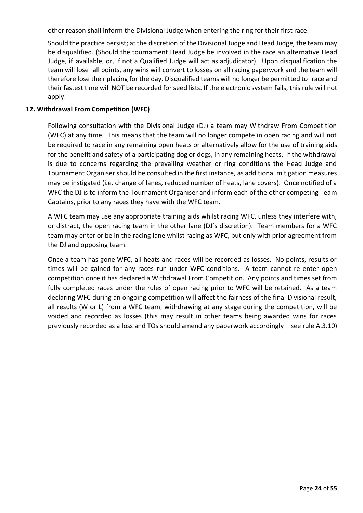other reason shall inform the Divisional Judge when entering the ring for their first race.

Should the practice persist; at the discretion of the Divisional Judge and Head Judge, the team may be disqualified. (Should the tournament Head Judge be involved in the race an alternative Head Judge, if available, or, if not a Qualified Judge will act as adjudicator). Upon disqualification the team will lose all points, any wins will convert to losses on all racing paperwork and the team will therefore lose their placing for the day. Disqualified teams will no longer be permitted to race and their fastest time will NOT be recorded for seed lists. If the electronic system fails, this rule will not apply.

### <span id="page-23-0"></span>**12. Withdrawal From Competition (WFC)**

Following consultation with the Divisional Judge (DJ) a team may Withdraw From Competition (WFC) at any time. This means that the team will no longer compete in open racing and will not be required to race in any remaining open heats or alternatively allow for the use of training aids for the benefit and safety of a participating dog or dogs, in any remaining heats. If the withdrawal is due to concerns regarding the prevailing weather or ring conditions the Head Judge and Tournament Organiser should be consulted in the first instance, as additional mitigation measures may be instigated (i.e. change of lanes, reduced number of heats, lane covers). Once notified of a WFC the DJ is to inform the Tournament Organiser and inform each of the other competing Team Captains, prior to any races they have with the WFC team.

A WFC team may use any appropriate training aids whilst racing WFC, unless they interfere with, or distract, the open racing team in the other lane (DJ's discretion). Team members for a WFC team may enter or be in the racing lane whilst racing as WFC, but only with prior agreement from the DJ and opposing team.

Once a team has gone WFC, all heats and races will be recorded as losses. No points, results or times will be gained for any races run under WFC conditions. A team cannot re-enter open competition once it has declared a Withdrawal From Competition. Any points and times set from fully completed races under the rules of open racing prior to WFC will be retained. As a team declaring WFC during an ongoing competition will affect the fairness of the final Divisional result, all results (W or L) from a WFC team, withdrawing at any stage during the competition, will be voided and recorded as losses (this may result in other teams being awarded wins for races previously recorded as a loss and TOs should amend any paperwork accordingly – see rule A.3.10)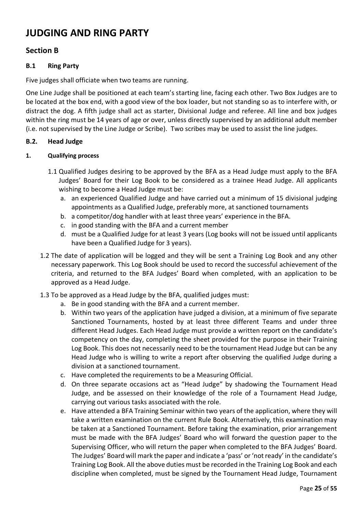# <span id="page-24-0"></span>**JUDGING AND RING PARTY**

# **Section B**

### <span id="page-24-1"></span>**B.1 Ring Party**

Five judges shall officiate when two teams are running.

One Line Judge shall be positioned at each team's starting line, facing each other. Two Box Judges are to be located at the box end, with a good view of the box loader, but not standing so as to interfere with, or distract the dog. A fifth judge shall act as starter, Divisional Judge and referee. All line and box judges within the ring must be 14 years of age or over, unless directly supervised by an additional adult member (i.e. not supervised by the Line Judge or Scribe). Two scribes may be used to assist the line judges.

#### <span id="page-24-2"></span>**B.2. Head Judge**

#### **1. Qualifying process**

- 1.1 Qualified Judges desiring to be approved by the BFA as a Head Judge must apply to the BFA Judges' Board for their Log Book to be considered as a trainee Head Judge. All applicants wishing to become a Head Judge must be:
	- a. an experienced Qualified Judge and have carried out a minimum of 15 divisional judging appointments as a Qualified Judge, preferably more, at sanctioned tournaments
	- b. a competitor/dog handler with at least three years' experience in the BFA.
	- c. in good standing with the BFA and a current member
	- d. must be a Qualified Judge for at least 3 years (Log books will not be issued until applicants have been a Qualified Judge for 3 years).
- 1.2 The date of application will be logged and they will be sent a Training Log Book and any other necessary paperwork. This Log Book should be used to record the successful achievement of the criteria, and returned to the BFA Judges' Board when completed, with an application to be approved as a Head Judge.
- 1.3 To be approved as a Head Judge by the BFA, qualified judges must:
	- a. Be in good standing with the BFA and a current member.
	- b. Within two years of the application have judged a division, at a minimum of five separate Sanctioned Tournaments, hosted by at least three different Teams and under three different Head Judges. Each Head Judge must provide a written report on the candidate's competency on the day, completing the sheet provided for the purpose in their Training Log Book. This does not necessarily need to be the tournament Head Judge but can be any Head Judge who is willing to write a report after observing the qualified Judge during a division at a sanctioned tournament.
	- c. Have completed the requirements to be a Measuring Official.
	- d. On three separate occasions act as "Head Judge" by shadowing the Tournament Head Judge, and be assessed on their knowledge of the role of a Tournament Head Judge, carrying out various tasks associated with the role.
	- e. Have attended a BFA Training Seminar within two years of the application, where they will take a written examination on the current Rule Book. Alternatively, this examination may be taken at a Sanctioned Tournament. Before taking the examination, prior arrangement must be made with the BFA Judges' Board who will forward the question paper to the Supervising Officer, who will return the paper when completed to the BFA Judges' Board. The Judges' Board will mark the paper and indicate a 'pass' or 'not ready' in the candidate's Training Log Book. All the above duties must be recorded in the Training Log Book and each discipline when completed, must be signed by the Tournament Head Judge, Tournament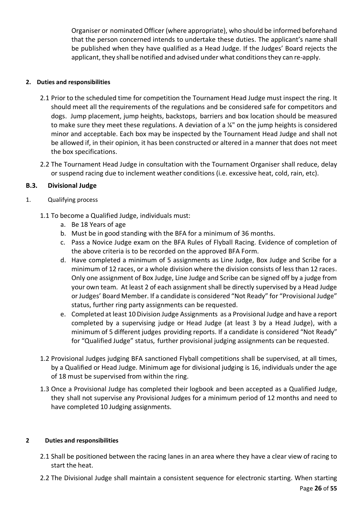Organiser or nominated Officer (where appropriate), who should be informed beforehand that the person concerned intends to undertake these duties. The applicant's name shall be published when they have qualified as a Head Judge. If the Judges' Board rejects the applicant, they shall be notified and advised under what conditions they can re-apply.

#### **2. Duties and responsibilities**

- 2.1 Prior to the scheduled time for competition the Tournament Head Judge must inspect the ring. It should meet all the requirements of the regulations and be considered safe for competitors and dogs. Jump placement, jump heights, backstops, barriers and box location should be measured to make sure they meet these regulations. A deviation of a ¼" on the jump heights is considered minor and acceptable. Each box may be inspected by the Tournament Head Judge and shall not be allowed if, in their opinion, it has been constructed or altered in a manner that does not meet the box specifications.
- 2.2 The Tournament Head Judge in consultation with the Tournament Organiser shall reduce, delay or suspend racing due to inclement weather conditions (i.e. excessive heat, cold, rain, etc).

# <span id="page-25-0"></span>**B.3. Divisional Judge**

- 1. Qualifying process
	- 1.1 To become a Qualified Judge, individuals must:
		- a. Be 18 Years of age
		- b. Must be in good standing with the BFA for a minimum of 36 months.
		- c. Pass a Novice Judge exam on the BFA Rules of Flyball Racing. Evidence of completion of the above criteria is to be recorded on the approved BFA Form.
		- d. Have completed a minimum of 5 assignments as Line Judge, Box Judge and Scribe for a minimum of 12 races, or a whole division where the division consists of less than 12 races. Only one assignment of Box Judge, Line Judge and Scribe can be signed off by a judge from your own team. At least 2 of each assignment shall be directly supervised by a Head Judge or Judges' Board Member. If a candidate is considered "Not Ready" for "Provisional Judge" status, further ring party assignments can be requested.
		- e. Completed at least 10Division Judge Assignments as a Provisional Judge and have a report completed by a supervising judge or Head Judge (at least 3 by a Head Judge), with a minimum of 5 different judges providing reports. If a candidate is considered "Not Ready" for "Qualified Judge" status, further provisional judging assignments can be requested.
	- 1.2 Provisional Judges judging BFA sanctioned Flyball competitions shall be supervised, at all times, by a Qualified or Head Judge. Minimum age for divisional judging is 16, individuals under the age of 18 must be supervised from within the ring.
	- 1.3 Once a Provisional Judge has completed their logbook and been accepted as a Qualified Judge, they shall not supervise any Provisional Judges for a minimum period of 12 months and need to have completed 10 Judging assignments.

#### **2 Duties and responsibilities**

- 2.1 Shall be positioned between the racing lanes in an area where they have a clear view of racing to start the heat.
- 2.2 The Divisional Judge shall maintain a consistent sequence for electronic starting. When starting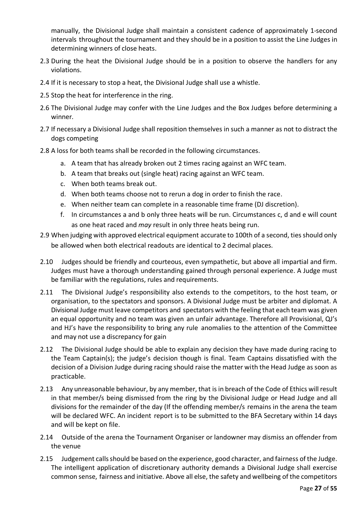manually, the Divisional Judge shall maintain a consistent cadence of approximately 1second intervals throughout the tournament and they should be in a position to assist the Line Judges in determining winners of close heats.

- 2.3 During the heat the Divisional Judge should be in a position to observe the handlers for any violations.
- 2.4 If it is necessary to stop a heat, the Divisional Judge shall use a whistle.
- 2.5 Stop the heat for interference in the ring.
- 2.6 The Divisional Judge may confer with the Line Judges and the Box Judges before determining a winner.
- 2.7 If necessary a Divisional Judge shall reposition themselves in such a manner as not to distract the dogs competing
- 2.8 A loss for both teams shall be recorded in the following circumstances.
	- a. A team that has already broken out 2 times racing against an WFC team.
	- b. A team that breaks out (single heat) racing against an WFC team.
	- c. When both teams break out.
	- d. When both teams choose not to rerun a dog in order to finish the race.
	- e. When neither team can complete in a reasonable time frame (DJ discretion).
	- f. In circumstances a and b only three heats will be run. Circumstances c, d and e will count as one heat raced and *may* result in only three heats being run.
- 2.9 When judging with approved electrical equipment accurate to 100th of a second, ties should only be allowed when both electrical readouts are identical to 2 decimal places.
- 2.10 Judges should be friendly and courteous, even sympathetic, but above all impartial and firm. Judges must have a thorough understanding gained through personal experience. A Judge must be familiar with the regulations, rules and requirements.
- 2.11 The Divisional Judge's responsibility also extends to the competitors, to the host team, or organisation, to the spectators and sponsors. A Divisional Judge must be arbiter and diplomat. A Divisional Judge must leave competitors and spectators with the feeling that each team was given an equal opportunity and no team was given an unfair advantage. Therefore all Provisional, QJ's and HJ's have the responsibility to bring any rule anomalies to the attention of the Committee and may not use a discrepancy for gain
- 2.12 The Divisional Judge should be able to explain any decision they have made during racing to the Team Captain(s); the judge's decision though is final. Team Captains dissatisfied with the decision of a Division Judge during racing should raise the matter with the Head Judge as soon as practicable.
- 2.13 Any unreasonable behaviour, by any member, that is in breach of the Code of Ethics will result in that member/s being dismissed from the ring by the Divisional Judge or Head Judge and all divisions for the remainder of the day (If the offending member/s remains in the arena the team will be declared WFC. An incident report is to be submitted to the BFA Secretary within 14 days and will be kept on file.
- 2.14 Outside of the arena the Tournament Organiser or landowner may dismiss an offender from the venue
- 2.15 Judgement callsshould be based on the experience, good character, and fairness of the Judge. The intelligent application of discretionary authority demands a Divisional Judge shall exercise common sense, fairness and initiative. Above all else, the safety and wellbeing of the competitors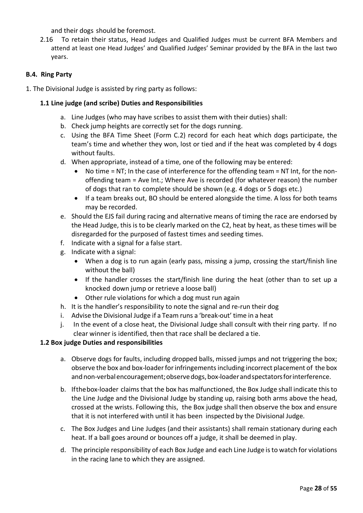and their dogs should be foremost.

2.16 To retain their status, Head Judges and Qualified Judges must be current BFA Members and attend at least one Head Judges' and Qualified Judges' Seminar provided by the BFA in the last two years.

### <span id="page-27-0"></span>**B.4. Ring Party**

1. The Divisional Judge is assisted by ring party as follows:

### **1.1 Line judge (and scribe) Duties and Responsibilities**

- a. Line Judges (who may have scribes to assist them with their duties) shall:
- b. Check jump heights are correctly set for the dogs running.
- c. Using the BFA Time Sheet (Form C.2) record for each heat which dogs participate, the team's time and whether they won, lost or tied and if the heat was completed by 4 dogs without faults.
- d. When appropriate, instead of a time, one of the following may be entered:
	- No time = NT; In the case of interference for the offending team = NT Int, for the nonoffending team = Ave Int.; Where Ave is recorded (for whatever reason) the number of dogs that ran to complete should be shown (e.g. 4 dogs or 5 dogs etc.)
	- If a team breaks out, BO should be entered alongside the time. A loss for both teams may be recorded.
- e. Should the EJS fail during racing and alternative means of timing the race are endorsed by the Head Judge, this is to be clearly marked on the C2, heat by heat, as these times will be disregarded for the purposed of fastest times and seeding times.
- f. Indicate with a signal for a false start.
- g. Indicate with a signal:
	- When a dog is to run again (early pass, missing a jump, crossing the start/finish line without the ball)
	- If the handler crosses the start/finish line during the heat (other than to set up a knocked down jump or retrieve a loose ball)
	- Other rule violations for which a dog must run again
- h. It is the handler's responsibility to note the signal and re-run their dog
- i. Advise the Divisional Judge if a Team runs a 'break-out' time in a heat
- j. In the event of a close heat, the Divisional Judge shall consult with their ring party. If no clear winner is identified, then that race shall be declared a tie.

#### **1.2 Box judge Duties and responsibilities**

- a. Observe dogs for faults, including dropped balls, missed jumps and not triggering the box; observe the box and box-loader for infringements including incorrect placement of the box and non-verbal encouragement; observe dogs, box-loader and spectators for interference.
- b. If the box-loader claims that the box has malfunctioned, the Box Judge shall indicate this to the Line Judge and the Divisional Judge by standing up, raising both arms above the head, crossed at the wrists. Following this, the Box judge shall then observe the box and ensure that it is not interfered with until it has been inspected by the Divisional Judge.
- c. The Box Judges and Line Judges (and their assistants) shall remain stationary during each heat. If a ball goes around or bounces off a judge, it shall be deemed in play.
- d. The principle responsibility of each Box Judge and each Line Judge isto watch for violations in the racing lane to which they are assigned.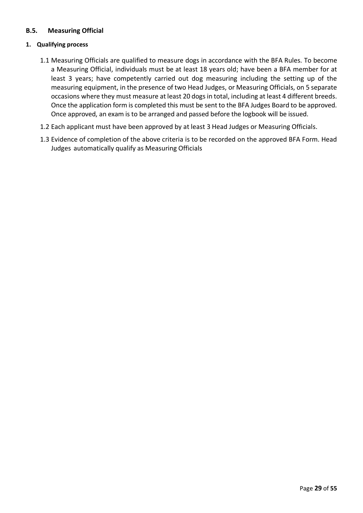# <span id="page-28-0"></span>**B.5. Measuring Official**

#### **1. Qualifying process**

- 1.1 Measuring Officials are qualified to measure dogs in accordance with the BFA Rules. To become a Measuring Official, individuals must be at least 18 years old; have been a BFA member for at least 3 years; have competently carried out dog measuring including the setting up of the measuring equipment, in the presence of two Head Judges, or Measuring Officials, on 5 separate occasions where they must measure at least 20 dogs in total, including at least 4 different breeds. Once the application form is completed this must be sent to the BFA Judges Board to be approved. Once approved, an exam is to be arranged and passed before the logbook will be issued.
- 1.2 Each applicant must have been approved by at least 3 Head Judges or Measuring Officials.
- 1.3 Evidence of completion of the above criteria is to be recorded on the approved BFA Form. Head Judges automatically qualify as Measuring Officials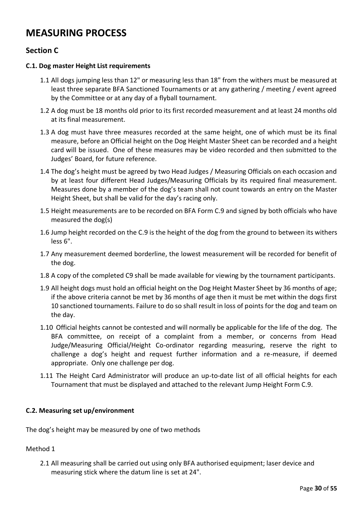# <span id="page-29-0"></span>**MEASURING PROCESS**

# **Section C**

#### <span id="page-29-1"></span>**C.1. Dog master Height List requirements**

- 1.1 All dogs jumping less than 12" or measuring less than 18" from the withers must be measured at least three separate BFA Sanctioned Tournaments or at any gathering / meeting / event agreed by the Committee or at any day of a flyball tournament.
- 1.2 A dog must be 18 months old prior to its first recorded measurement and at least 24 months old at its final measurement.
- 1.3 A dog must have three measures recorded at the same height, one of which must be its final measure, before an Official height on the Dog Height Master Sheet can be recorded and a height card will be issued. One of these measures may be video recorded and then submitted to the Judges' Board, for future reference.
- 1.4 The dog's height must be agreed by two Head Judges / Measuring Officials on each occasion and by at least four different Head Judges/Measuring Officials by its required final measurement. Measures done by a member of the dog's team shall not count towards an entry on the Master Height Sheet, but shall be valid for the day's racing only.
- 1.5 Height measurements are to be recorded on BFA Form C.9 and signed by both officials who have measured the dog(s)
- 1.6 Jump height recorded on the C.9 is the height of the dog from the ground to between its withers less 6".
- 1.7 Any measurement deemed borderline, the lowest measurement will be recorded for benefit of the dog.
- 1.8 A copy of the completed C9 shall be made available for viewing by the tournament participants.
- 1.9 All height dogs must hold an official height on the Dog Height Master Sheet by 36 months of age; if the above criteria cannot be met by 36 months of age then it must be met within the dogs first 10 sanctioned tournaments. Failure to do so shall result in loss of points for the dog and team on the day.
- 1.10 Official heights cannot be contested and will normally be applicable for the life of the dog. The BFA committee, on receipt of a complaint from a member, or concerns from Head Judge/Measuring Official/Height Co-ordinator regarding measuring, reserve the right to challenge a dog's height and request further information and a re-measure, if deemed appropriate. Only one challenge per dog.
- 1.11 The Height Card Administrator will produce an up-to-date list of all official heights for each Tournament that must be displayed and attached to the relevant Jump Height Form C.9.

#### <span id="page-29-2"></span>**C.2. Measuring set up/environment**

The dog's height may be measured by one of two methods

#### Method 1

2.1 All measuring shall be carried out using only BFA authorised equipment; laser device and measuring stick where the datum line is set at 24".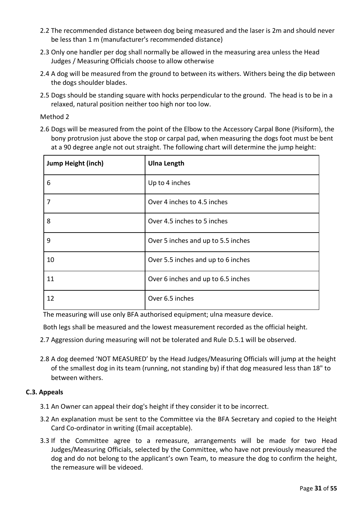- 2.2 The recommended distance between dog being measured and the laser is 2m and should never be less than 1 m (manufacturer's recommended distance)
- 2.3 Only one handler per dog shall normally be allowed in the measuring area unless the Head Judges / Measuring Officials choose to allow otherwise
- 2.4 A dog will be measured from the ground to between its withers. Withers being the dip between the dogs shoulder blades.
- 2.5 Dogs should be standing square with hocks perpendicular to the ground. The head is to be in a relaxed, natural position neither too high nor too low.

Method 2

2.6 Dogs will be measured from the point of the Elbow to the Accessory Carpal Bone (Pisiform), the bony protrusion just above the stop or carpal pad, when measuring the dogs foot must be bent at a 90 degree angle not out straight. The following chart will determine the jump height:

| <b>Jump Height (inch)</b> | <b>Ulna Length</b>                 |
|---------------------------|------------------------------------|
| 6                         | Up to 4 inches                     |
| 7                         | Over 4 inches to 4.5 inches        |
| 8                         | Over 4.5 inches to 5 inches        |
| 9                         | Over 5 inches and up to 5.5 inches |
| 10                        | Over 5.5 inches and up to 6 inches |
| 11                        | Over 6 inches and up to 6.5 inches |
| 12                        | Over 6.5 inches                    |

The measuring will use only BFA authorised equipment; ulna measure device.

Both legs shall be measured and the lowest measurement recorded as the official height.

2.7 Aggression during measuring will not be tolerated and Rule D.5.1 will be observed.

2.8 A dog deemed 'NOT MEASURED' by the Head Judges/Measuring Officials will jump at the height of the smallest dog in its team (running, not standing by) if that dog measured less than 18" to between withers.

# <span id="page-30-0"></span>**C.3. Appeals**

- 3.1 An Owner can appeal their dog's height if they consider it to be incorrect.
- 3.2 An explanation must be sent to the Committee via the BFA Secretary and copied to the Height Card Co-ordinator in writing (Email acceptable).
- 3.3 If the Committee agree to a remeasure, arrangements will be made for two Head Judges/Measuring Officials, selected by the Committee, who have not previously measured the dog and do not belong to the applicant's own Team, to measure the dog to confirm the height, the remeasure will be videoed.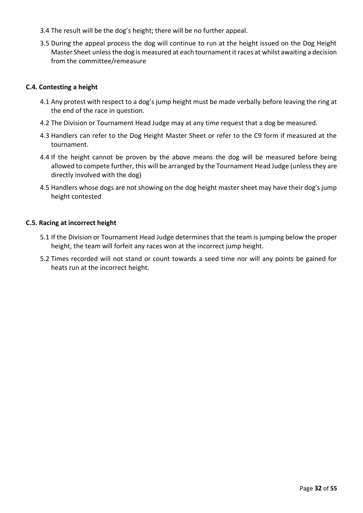- 3.4 The result will be the dog's height; there will be no further appeal.
- 3.5 During the appeal process the dog will continue to run at the height issued on the Dog Height Master Sheet unless the dog is measured at each tournament it races at whilst awaiting a decision from the committee/remeasure

#### <span id="page-31-0"></span>**C.4. Contesting a height**

- 4.1 Any protest with respect to a dog's jump height must be made verbally before leaving the ring at the end of the race in question.
- 4.2 The Division or Tournament Head Judge may at any time request that a dog be measured.
- 4.3 Handlers can refer to the Dog Height Master Sheet or refer to the C9 form if measured at the tournament.
- 4.4 If the height cannot be proven by the above means the dog will be measured before being allowed to compete further, this will be arranged by the Tournament Head Judge (unless they are directly involved with the dog)
- 4.5 Handlers whose dogs are not showing on the dog height master sheet may have their dog's jump height contested

#### <span id="page-31-1"></span>**C.5. Racing at incorrect height**

- 5.1 If the Division or Tournament Head Judge determines that the team is jumping below the proper height, the team will forfeit any races won at the incorrect jump height.
- 5.2 Times recorded will not stand or count towards a seed time nor will any points be gained for heats run at the incorrect height.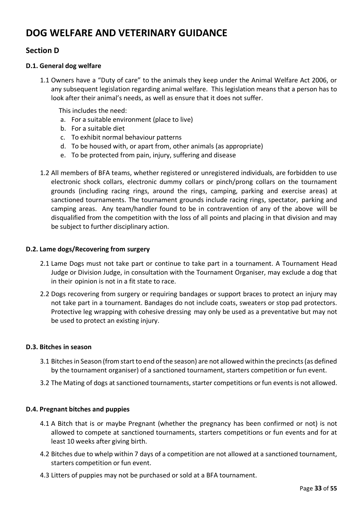# <span id="page-32-0"></span>**DOG WELFARE AND VETERINARY GUIDANCE**

# **Section D**

### <span id="page-32-1"></span>**D.1. General dog welfare**

1.1 Owners have a "Duty of care" to the animals they keep under the Animal Welfare Act 2006, or any subsequent legislation regarding animal welfare. This legislation means that a person has to look after their animal's needs, as well as ensure that it does not suffer.

This includes the need:

- a. For a suitable environment (place to live)
- b. For a suitable diet
- c. To exhibit normal behaviour patterns
- d. To be housed with, or apart from, other animals (as appropriate)
- e. To be protected from pain, injury, suffering and disease
- 1.2 All members of BFA teams, whether registered or unregistered individuals, are forbidden to use electronic shock collars, electronic dummy collars or pinch/prong collars on the tournament grounds (including racing rings, around the rings, camping, parking and exercise areas) at sanctioned tournaments. The tournament grounds include racing rings, spectator, parking and camping areas. Any team/handler found to be in contravention of any of the above will be disqualified from the competition with the loss of all points and placing in that division and may be subject to further disciplinary action.

#### <span id="page-32-2"></span>**D.2. Lame dogs/Recovering from surgery**

- 2.1 Lame Dogs must not take part or continue to take part in a tournament. A Tournament Head Judge or Division Judge, in consultation with the Tournament Organiser, may exclude a dog that in their opinion is not in a fit state to race.
- 2.2 Dogs recovering from surgery or requiring bandages or support braces to protect an injury may not take part in a tournament. Bandages do not include coats, sweaters or stop pad protectors. Protective leg wrapping with cohesive dressing may only be used as a preventative but may not be used to protect an existing injury.

#### <span id="page-32-3"></span>**D.3. Bitches in season**

- 3.1 Bitchesin Season (from start to end ofthe season) are not allowed within the precincts(as defined by the tournament organiser) of a sanctioned tournament, starters competition or fun event.
- 3.2 The Mating of dogs at sanctioned tournaments, starter competitions or fun events is not allowed.

#### <span id="page-32-4"></span>**D.4. Pregnant bitches and puppies**

- 4.1 A Bitch that is or maybe Pregnant (whether the pregnancy has been confirmed or not) is not allowed to compete at sanctioned tournaments, starters competitions or fun events and for at least 10 weeks after giving birth.
- 4.2 Bitches due to whelp within 7 days of a competition are not allowed at a sanctioned tournament, starters competition or fun event.
- 4.3 Litters of puppies may not be purchased or sold at a BFA tournament.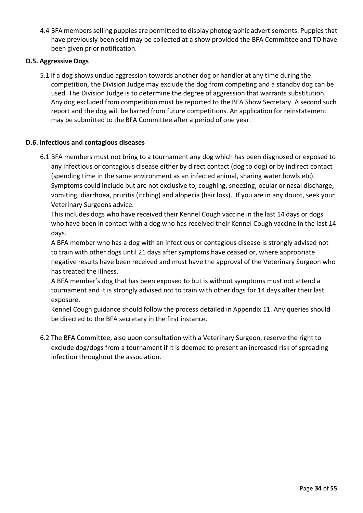4.4 BFA membersselling puppies are permitted to display photographic advertisements. Puppiesthat have previously been sold may be collected at a show provided the BFA Committee and TO have been given prior notification.

### <span id="page-33-0"></span>**D.5. Aggressive Dogs**

5.1 If a dog shows undue aggression towards another dog or handler at any time during the competition, the Division Judge may exclude the dog from competing and a standby dog can be used. The Division Judge is to determine the degree of aggression that warrants substitution. Any dog excluded from competition must be reported to the BFA Show Secretary. A second such report and the dog will be barred from future competitions. An application for reinstatement may be submitted to the BFA Committee after a period of one year.

#### <span id="page-33-1"></span>**D.6. Infectious and contagious diseases**

6.1 BFA members must not bring to a tournament any dog which has been diagnosed or exposed to any infectious or contagious disease either by direct contact (dog to dog) or by indirect contact (spending time in the same environment as an infected animal, sharing water bowls etc). Symptoms could include but are not exclusive to, coughing, sneezing, ocular or nasal discharge, vomiting, diarrhoea, pruritis (itching) and alopecia (hair loss). If you are in any doubt, seek your Veterinary Surgeons advice.

This includes dogs who have received their Kennel Cough vaccine in the last 14 days or dogs who have been in contact with a dog who has received their Kennel Cough vaccine in the last 14 days.

A BFA member who has a dog with an infectious or contagious disease is strongly advised not to train with other dogs until 21 days after symptoms have ceased or, where appropriate negative results have been received and must have the approval of the Veterinary Surgeon who has treated the illness.

A BFA member's dog that has been exposed to but is without symptoms must not attend a tournament and it is strongly advised not to train with other dogs for 14 days after their last exposure.

Kennel Cough guidance should follow the process detailed in Appendix 11. Any queries should be directed to the BFA secretary in the first instance.

6.2 The BFA Committee, also upon consultation with a Veterinary Surgeon, reserve the right to exclude dog/dogs from a tournament if it is deemed to present an increased risk of spreading infection throughout the association.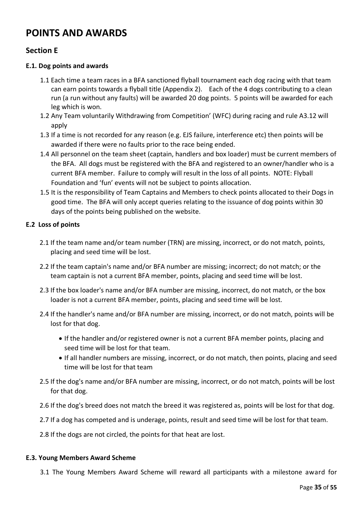# <span id="page-34-0"></span>**POINTS AND AWARDS**

# **Section E**

#### <span id="page-34-1"></span>**E.1. Dog points and awards**

- 1.1 Each time a team races in a BFA sanctioned flyball tournament each dog racing with that team can earn points towards a flyball title (Appendix 2). Each of the 4 dogs contributing to a clean run (a run without any faults) will be awarded 20 dog points. 5 points will be awarded for each leg which is won.
- 1.2 Any Team voluntarily Withdrawing from Competition' (WFC) during racing and rule A3.12 will apply
- 1.3 If a time is not recorded for any reason (e.g. EJS failure, interference etc) then points will be awarded if there were no faults prior to the race being ended.
- 1.4 All personnel on the team sheet (captain, handlers and box loader) must be current members of the BFA. All dogs must be registered with the BFA and registered to an owner/handler who is a current BFA member. Failure to comply will result in the loss of all points. NOTE: Flyball Foundation and 'fun' events will not be subject to points allocation.
- 1.5 It is the responsibility of Team Captains and Members to check points allocated to their Dogs in good time. The BFA will only accept queries relating to the issuance of dog points within 30 days of the points being published on the website.

#### **E.2 Loss of points**

- 2.1 If the team name and/or team number (TRN) are missing, incorrect, or do not match, points, placing and seed time will be lost.
- 2.2 If the team captain's name and/or BFA number are missing; incorrect; do not match; or the team captain is not a current BFA member, points, placing and seed time will be lost.
- 2.3 If the box loader's name and/or BFA number are missing, incorrect, do not match, or the box loader is not a current BFA member, points, placing and seed time will be lost.
- 2.4 If the handler's name and/or BFA number are missing, incorrect, or do not match, points will be lost for that dog.
	- If the handler and/or registered owner is not a current BFA member points, placing and seed time will be lost for that team.
	- If all handler numbers are missing, incorrect, or do not match, then points, placing and seed time will be lost for that team
- 2.5 If the dog's name and/or BFA number are missing, incorrect, or do not match, points will be lost for that dog.
- 2.6 If the dog's breed does not match the breed it was registered as, points will be lost for that dog.
- 2.7 If a dog has competed and is underage, points, result and seed time will be lost for that team.

2.8 If the dogs are not circled, the points for that heat are lost.

#### <span id="page-34-2"></span>**E.3. Young Members Award Scheme**

3.1 The Young Members Award Scheme will reward all participants with a milestone award for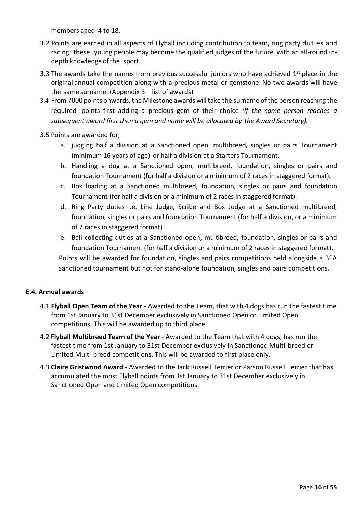members aged 4 to 18.

- 3.2 Points are earned in all aspects of Flyball including contribution to team, ring party duties and racing; these young people may become the qualified judges of the future with an all-round indepth knowledge of the sport.
- 3.3 The awards take the names from previous successful juniors who have achieved  $1<sup>st</sup>$  place in the original annual competition along with a precious metal or gemstone. No two awards will have the same surname. (Appendix 3 – list of awards)
- 3.4 From 7000 points onwards, the Milestone awards will take the surname of the person reaching the required points first adding a precious gem of their choice *(if the same person reaches a subsequent award first then a gem and name will be allocated by the Award Secretary).*

3.5 Points are awarded for;

- a. judging half a division at a Sanctioned open, multibreed, singles or pairs Tournament (minimum 16 years of age) or half a division at a Starters Tournament.
- b. Handling a dog at a Sanctioned open, multibreed, foundation, singles or pairs and foundation Tournament (for half a division or a minimum of 2 races in staggered format).
- c. Box loading at a Sanctioned multibreed, foundation, singles or pairs and foundation Tournament (for half a division or a minimum of 2 races in staggered format).
- d. Ring Party duties i.e. Line Judge, Scribe and Box Judge at a Sanctioned multibreed, foundation, singles or pairs and foundation Tournament (for half a division, or a minimum of 7 races in staggered format)
- e. Ball collecting duties at a Sanctioned open, multibreed, foundation, singles or pairs and foundation Tournament (for half a division or a minimum of 2 races in staggered format). Points will be awarded for foundation, singles and pairs competitions held alongside a BFA sanctioned tournament but not for stand-alone foundation, singles and pairs competitions.

# <span id="page-35-0"></span>**E.4. Annual awards**

- 4.1 **Flyball Open Team of the Year** Awarded to the Team, that with 4 dogs has run the fastest time from 1st January to 31st December exclusively in Sanctioned Open or Limited Open competitions. This will be awarded up to third place.
- 4.2 **Flyball Multibreed Team of the Year** Awarded to the Team that with 4 dogs, has run the fastest time from 1st January to 31st December exclusively in Sanctioned Multi-breed or Limited Multi-breed competitions. This will be awarded to first place only.
- 4.3 **Claire Gristwood Award** Awarded to the Jack Russell Terrier or Parson Russell Terrier that has accumulated the most Flyball points from 1st January to 31st December exclusively in Sanctioned Open and Limited Open competitions.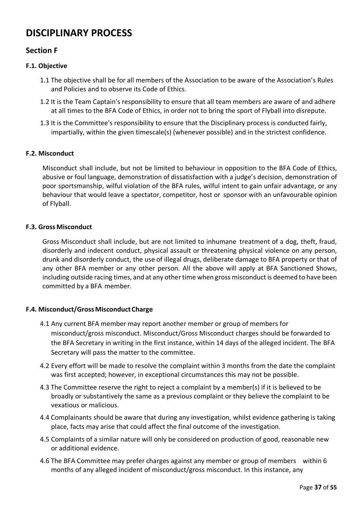# <span id="page-36-0"></span>**DISCIPLINARY PROCESS**

# **Section F**

#### <span id="page-36-1"></span>**F.1. Objective**

- 1.1 The objective shall be for all members of the Association to be aware of the Association's Rules and Policies and to observe its Code of Ethics.
- 1.2 It is the Team Captain's responsibility to ensure that all team members are aware of and adhere at all times to the BFA Code of Ethics, in order not to bring the sport of Flyball into disrepute.
- 1.3 It is the Committee's responsibility to ensure that the Disciplinary process is conducted fairly, impartially, within the given timescale(s) (whenever possible) and in the strictest confidence.

#### <span id="page-36-2"></span>**F.2. Misconduct**

Misconduct shall include, but not be limited to behaviour in opposition to the BFA Code of Ethics, abusive or foul language, demonstration of dissatisfaction with a judge's decision, demonstration of poor sportsmanship, wilful violation of the BFA rules, wilful intent to gain unfair advantage, or any behaviour that would leave a spectator, competitor, host or sponsor with an unfavourable opinion of Flyball.

#### <span id="page-36-3"></span>**F.3. Gross Misconduct**

Gross Misconduct shall include, but are not limited to inhumane treatment of a dog, theft, fraud, disorderly and indecent conduct, physical assault or threatening physical violence on any person, drunk and disorderly conduct, the use of illegal drugs, deliberate damage to BFA property or that of any other BFA member or any other person. All the above will apply at BFA Sanctioned Shows, including outside racing times, and at any other time when gross misconduct is deemed to have been committed by a BFA member.

#### <span id="page-36-4"></span>**F.4. Misconduct/GrossMisconductCharge**

- 4.1 Any current BFA member may report another member or group of members for misconduct/gross misconduct. Misconduct/Gross Misconduct charges should be forwarded to the BFA Secretary in writing in the first instance, within 14 days of the alleged incident. The BFA Secretary will pass the matter to the committee.
- 4.2 Every effort will be made to resolve the complaint within 3 months from the date the complaint was first accepted; however, in exceptional circumstances this may not be possible.
- 4.3 The Committee reserve the right to reject a complaint by a member(s) if it is believed to be broadly or substantively the same as a previous complaint or they believe the complaint to be vexatious or malicious.
- 4.4 Complainants should be aware that during any investigation, whilst evidence gathering is taking place, facts may arise that could affect the final outcome of the investigation.
- 4.5 Complaints of a similar nature will only be considered on production of good, reasonable new or additional evidence.
- 4.6 The BFA Committee may prefer charges against any member or group of members within 6 months of any alleged incident of misconduct/gross misconduct. In this instance, any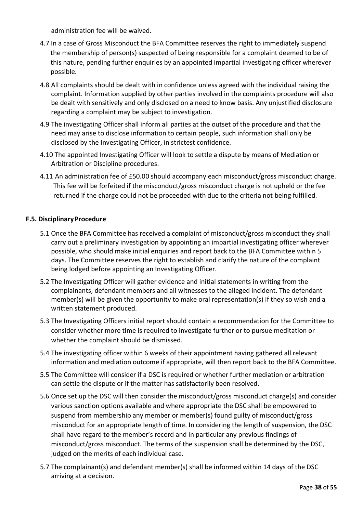administration fee will be waived.

- 4.7 In a case of Gross Misconduct the BFA Committee reserves the right to immediately suspend the membership of person(s) suspected of being responsible for a complaint deemed to be of this nature, pending further enquiries by an appointed impartial investigating officer wherever possible.
- 4.8 All complaints should be dealt with in confidence unless agreed with the individual raising the complaint. Information supplied by other parties involved in the complaints procedure will also be dealt with sensitively and only disclosed on a need to know basis. Any unjustified disclosure regarding a complaint may be subject to investigation.
- 4.9 The investigating Officer shall inform all parties at the outset of the procedure and that the need may arise to disclose information to certain people, such information shall only be disclosed by the Investigating Officer, in strictest confidence.
- 4.10 The appointed Investigating Officer will look to settle a dispute by means of Mediation or Arbitration or Discipline procedures.
- 4.11 An administration fee of £50.00 should accompany each misconduct/gross misconduct charge. This fee will be forfeited if the misconduct/gross misconduct charge is not upheld or the fee returned if the charge could not be proceeded with due to the criteria not being fulfilled.

# <span id="page-37-0"></span>**F.5. DisciplinaryProcedure**

- 5.1 Once the BFA Committee has received a complaint of misconduct/gross misconduct they shall carry out a preliminary investigation by appointing an impartial investigating officer wherever possible, who should make initial enquiries and report back to the BFA Committee within 5 days. The Committee reserves the right to establish and clarify the nature of the complaint being lodged before appointing an Investigating Officer.
- 5.2 The Investigating Officer will gather evidence and initial statements in writing from the complainants, defendant members and all witnesses to the alleged incident. The defendant member(s) will be given the opportunity to make oral representation(s) if they so wish and a written statement produced.
- 5.3 The Investigating Officers initial report should contain a recommendation for the Committee to consider whether more time is required to investigate further or to pursue meditation or whether the complaint should be dismissed.
- 5.4 The investigating officer within 6 weeks of their appointment having gathered all relevant information and mediation outcome if appropriate, will then report back to the BFA Committee.
- 5.5 The Committee will consider if a DSC is required or whether further mediation or arbitration can settle the dispute or if the matter has satisfactorily been resolved.
- 5.6 Once set up the DSC will then consider the misconduct/gross misconduct charge(s) and consider various sanction options available and where appropriate the DSC shall be empowered to suspend from membership any member or member(s) found guilty of misconduct/gross misconduct for an appropriate length of time. In considering the length of suspension, the DSC shall have regard to the member's record and in particular any previous findings of misconduct/gross misconduct. The terms of the suspension shall be determined by the DSC, judged on the merits of each individual case.
- 5.7 The complainant(s) and defendant member(s) shall be informed within 14 days of the DSC arriving at a decision.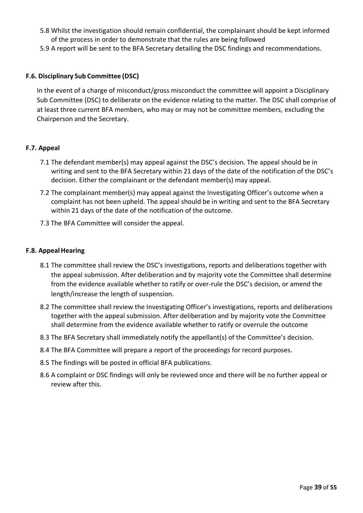- 5.8 Whilst the investigation should remain confidential, the complainant should be kept informed of the process in order to demonstrate that the rules are being followed
- 5.9 A report will be sent to the BFA Secretary detailing the DSC findings and recommendations.

#### <span id="page-38-0"></span>**F.6. Disciplinary Sub Committee (DSC)**

In the event of a charge of misconduct/gross misconduct the committee will appoint a Disciplinary Sub Committee (DSC) to deliberate on the evidence relating to the matter. The DSC shall comprise of at least three current BFA members, who may or may not be committee members, excluding the Chairperson and the Secretary.

#### <span id="page-38-1"></span>**F.7. Appeal**

- 7.1 The defendant member(s) may appeal against the DSC's decision. The appeal should be in writing and sent to the BFA Secretary within 21 days of the date of the notification of the DSC's decision. Either the complainant or the defendant member(s) may appeal.
- 7.2 The complainant member(s) may appeal against the Investigating Officer's outcome when a complaint has not been upheld. The appeal should be in writing and sent to the BFA Secretary within 21 days of the date of the notification of the outcome.
- 7.3 The BFA Committee will consider the appeal.

#### <span id="page-38-2"></span>**F.8. AppealHearing**

- 8.1 The committee shall review the DSC's investigations, reports and deliberations together with the appeal submission. After deliberation and by majority vote the Committee shall determine from the evidence available whether to ratify or over-rule the DSC's decision, or amend the length/increase the length of suspension.
- 8.2 The committee shall review the Investigating Officer's investigations, reports and deliberations together with the appeal submission. After deliberation and by majority vote the Committee shall determine from the evidence available whether to ratify or overrule the outcome
- 8.3 The BFA Secretary shall immediately notify the appellant(s) of the Committee's decision.
- 8.4 The BFA Committee will prepare a report of the proceedings for record purposes.
- 8.5 The findings will be posted in official BFA publications.
- 8.6 A complaint or DSC findings will only be reviewed once and there will be no further appeal or review after this.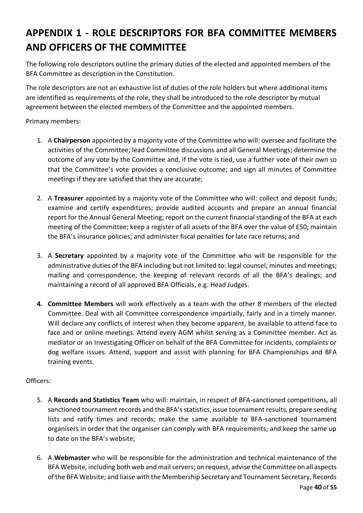# <span id="page-39-0"></span>**APPENDIX 1 - ROLE DESCRIPTORS FOR BFA COMMITTEE MEMBERS AND OFFICERS OF THE COMMITTEE**

The following role descriptors outline the primary duties of the elected and appointed members of the BFA Committee as description in the Constitution.

The role descriptors are not an exhaustive list of duties of the role holders but where additional items are identified as requirements of the role, they shall be introduced to the role descriptor by mutual agreement between the elected members of the Committee and the appointed members.

Primary members:

- 1. A **Chairperson** appointed by a majority vote of the Committee who will: oversee and facilitate the activities of the Committee; lead Committee discussions and all General Meetings; determine the outcome of any vote by the Committee and, if the vote is tied, use a further vote of their own so that the Committee's vote provides a conclusive outcome; and sign all minutes of Committee meetings if they are satisfied that they are accurate;
- 2. A **Treasurer** appointed by a majority vote of the Committee who will: collect and deposit funds; examine and certify expenditures; provide audited accounts and prepare an annual financial report for the Annual General Meeting; report on the current financial standing of the BFA at each meeting of the Committee; keep a register of all assets of the BFA over the value of £50; maintain the BFA's insurance policies; and administer fiscal penalties for late race returns; and
- 3. A **Secretary** appointed by a majority vote of the Committee who will be responsible for the administrative duties of the BFA including but not limited to: legal counsel; minutes and meetings; mailing and correspondence; the keeping of relevant records of all the BFA's dealings; and maintaining a record of all approved BFA Officials, e.g. Head Judges.
- **4. Committee Members** will work effectively as a team with the other 8 members of the elected Committee. Deal with all Committee correspondence impartially, fairly and in a timely manner. Will declare any conflicts of interest when they become apparent, be available to attend face to face and or online meetings. Attend every AGM whilst serving as a Committee member. Act as mediator or an Investigating Officer on behalf of the BFA Committee for incidents, complaints or dog welfare issues. Attend, support and assist with planning for BFA Championships and BFA training events.

# Officers:

- 5. A **Records and Statistics Team** who will: maintain, in respect of BFA-sanctioned competitions, all sanctioned tournament records and the BFA's statistics, issue tournament results, prepare seeding lists and ratify times and records; make the same available to BFA-sanctioned tournament organisers in order that the organiser can comply with BFA requirements; and keep the same up to date on the BFA's website;
- 6. A **Webmaster** who will be responsible for the administration and technical maintenance of the BFA Website, including both web and mail servers; on request, advise the Committee on all aspects of the BFA Website; and liaise with the Membership Secretary and Tournament Secretary, Records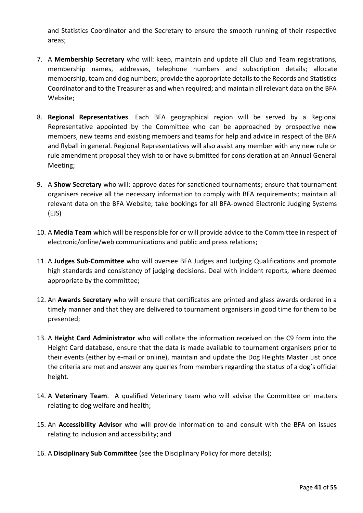and Statistics Coordinator and the Secretary to ensure the smooth running of their respective areas;

- 7. A **Membership Secretary** who will: keep, maintain and update all Club and Team registrations, membership names, addresses, telephone numbers and subscription details; allocate membership, team and dog numbers; provide the appropriate details to the Records and Statistics Coordinator and to the Treasurer as and when required; and maintain all relevant data on the BFA Website;
- 8. **Regional Representatives**. Each BFA geographical region will be served by a Regional Representative appointed by the Committee who can be approached by prospective new members, new teams and existing members and teams for help and advice in respect of the BFA and flyball in general. Regional Representatives will also assist any member with any new rule or rule amendment proposal they wish to or have submitted for consideration at an Annual General Meeting;
- 9. A **Show Secretary** who will: approve dates for sanctioned tournaments; ensure that tournament organisers receive all the necessary information to comply with BFA requirements; maintain all relevant data on the BFA Website; take bookings for all BFA-owned Electronic Judging Systems (EJS)
- 10. A **Media Team** which will be responsible for or will provide advice to the Committee in respect of electronic/online/web communications and public and press relations;
- 11. A **Judges Sub-Committee** who will oversee BFA Judges and Judging Qualifications and promote high standards and consistency of judging decisions. Deal with incident reports, where deemed appropriate by the committee;
- 12. An **Awards Secretary** who will ensure that certificates are printed and glass awards ordered in a timely manner and that they are delivered to tournament organisers in good time for them to be presented;
- 13. A **Height Card Administrator** who will collate the information received on the C9 form into the Height Card database, ensure that the data is made available to tournament organisers prior to their events (either by e-mail or online), maintain and update the Dog Heights Master List once the criteria are met and answer any queries from members regarding the status of a dog's official height.
- 14. A **Veterinary Team**. A qualified Veterinary team who will advise the Committee on matters relating to dog welfare and health;
- 15. An **Accessibility Advisor** who will provide information to and consult with the BFA on issues relating to inclusion and accessibility; and
- 16. A **Disciplinary Sub Committee** (see the Disciplinary Policy for more details);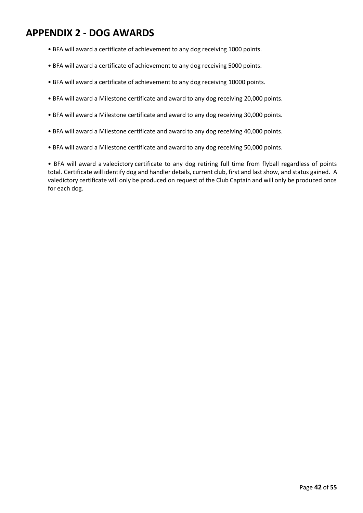# <span id="page-41-0"></span>**APPENDIX 2 - DOG AWARDS**

- BFA will award a certificate of achievement to any dog receiving 1000 points.
- BFA will award a certificate of achievement to any dog receiving 5000 points.
- BFA will award a certificate of achievement to any dog receiving 10000 points.
- BFA will award a Milestone certificate and award to any dog receiving 20,000 points.
- BFA will award a Milestone certificate and award to any dog receiving 30,000 points.
- BFA will award a Milestone certificate and award to any dog receiving 40,000 points.
- BFA will award a Milestone certificate and award to any dog receiving 50,000 points.

• BFA will award a valedictory certificate to any dog retiring full time from flyball regardless of points total. Certificate will identify dog and handler details, current club, first and last show, and status gained. A valedictory certificate will only be produced on request of the Club Captain and will only be produced once for each dog.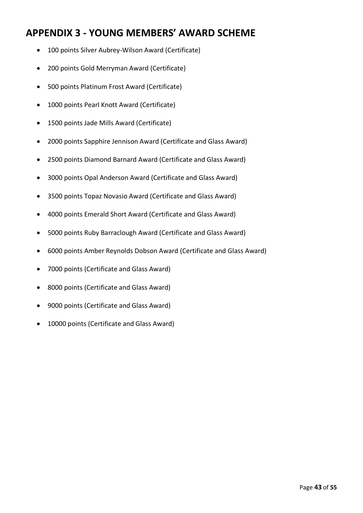# <span id="page-42-0"></span>**APPENDIX 3 - YOUNG MEMBERS' AWARD SCHEME**

- 100 points Silver Aubrey-Wilson Award (Certificate)
- 200 points Gold Merryman Award (Certificate)
- 500 points Platinum Frost Award (Certificate)
- 1000 points Pearl Knott Award (Certificate)
- 1500 points Jade Mills Award (Certificate)
- 2000 points Sapphire Jennison Award (Certificate and Glass Award)
- 2500 points Diamond Barnard Award (Certificate and Glass Award)
- 3000 points Opal Anderson Award (Certificate and Glass Award)
- 3500 points Topaz Novasio Award (Certificate and Glass Award)
- 4000 points Emerald Short Award (Certificate and Glass Award)
- 5000 points Ruby Barraclough Award (Certificate and Glass Award)
- 6000 points Amber Reynolds Dobson Award (Certificate and Glass Award)
- 7000 points (Certificate and Glass Award)
- 8000 points (Certificate and Glass Award)
- 9000 points (Certificate and Glass Award)
- 10000 points (Certificate and Glass Award)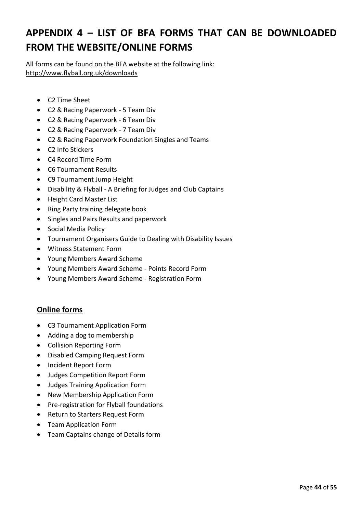# <span id="page-43-0"></span>**APPENDIX 4 – LIST OF BFA FORMS THAT CAN BE DOWNLOADED FROM THE WEBSITE/ONLINE FORMS**

All forms can be found on the BFA website at the following link: <http://www.flyball.org.uk/downloads>

- C2 Time Sheet
- C2 & Racing Paperwork 5 Team Div
- C2 & Racing Paperwork 6 Team Div
- C2 & Racing Paperwork 7 Team Div
- C2 & Racing Paperwork Foundation Singles and Teams
- C2 Info Stickers
- C4 Record Time Form
- C6 Tournament Results
- C9 Tournament Jump Height
- Disability & Flyball A Briefing for Judges and Club Captains
- Height Card Master List
- Ring Party training delegate book
- Singles and Pairs Results and paperwork
- Social Media Policy
- Tournament Organisers Guide to Dealing with Disability Issues
- Witness Statement Form
- Young Members Award Scheme
- Young Members Award Scheme Points Record Form
- Young Members Award Scheme Registration Form

# **Online forms**

- C3 Tournament Application Form
- Adding a dog to membership
- Collision Reporting Form
- Disabled Camping Request Form
- Incident Report Form
- Judges Competition Report Form
- Judges Training Application Form
- New Membership Application Form
- Pre-registration for Flyball foundations
- Return to Starters Request Form
- Team Application Form
- Team Captains change of Details form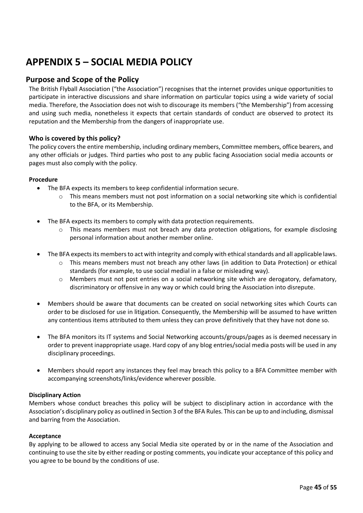# <span id="page-44-0"></span>**APPENDIX 5 – SOCIAL MEDIA POLICY**

# **Purpose and Scope of the Policy**

The British Flyball Association ("the Association") recognises that the internet provides unique opportunities to participate in interactive discussions and share information on particular topics using a wide variety of social media. Therefore, the Association does not wish to discourage its members ("the Membership") from accessing and using such media, nonetheless it expects that certain standards of conduct are observed to protect its reputation and the Membership from the dangers of inappropriate use.

#### **Who is covered by this policy?**

The policy covers the entire membership, including ordinary members, Committee members, office bearers, and any other officials or judges. Third parties who post to any public facing Association social media accounts or pages must also comply with the policy.

#### **Procedure**

- The BFA expects its members to keep confidential information secure.
	- o This means members must not post information on a social networking site which is confidential to the BFA, or its Membership.
- The BFA expects its members to comply with data protection requirements.
	- $\circ$  This means members must not breach any data protection obligations, for example disclosing personal information about another member online.
- The BFA expects its members to act with integrity and comply with ethical standards and all applicable laws.
	- o This means members must not breach any other laws (in addition to Data Protection) or ethical standards (for example, to use social medial in a false or misleading way).
	- o Members must not post entries on a social networking site which are derogatory, defamatory, discriminatory or offensive in any way or which could bring the Association into disrepute.
- Members should be aware that documents can be created on social networking sites which Courts can order to be disclosed for use in litigation. Consequently, the Membership will be assumed to have written any contentious items attributed to them unless they can prove definitively that they have not done so.
- The BFA monitors its IT systems and Social Networking accounts/groups/pages as is deemed necessary in order to prevent inappropriate usage. Hard copy of any blog entries/social media posts will be used in any disciplinary proceedings.
- Members should report any instances they feel may breach this policy to a BFA Committee member with accompanying screenshots/links/evidence wherever possible.

#### **Disciplinary Action**

Members whose conduct breaches this policy will be subject to disciplinary action in accordance with the Association's disciplinary policy as outlined in Section 3 of the BFA Rules. This can be up to and including, dismissal and barring from the Association.

#### **Acceptance**

By applying to be allowed to access any Social Media site operated by or in the name of the Association and continuing to use the site by either reading or posting comments, you indicate your acceptance of this policy and you agree to be bound by the conditions of use.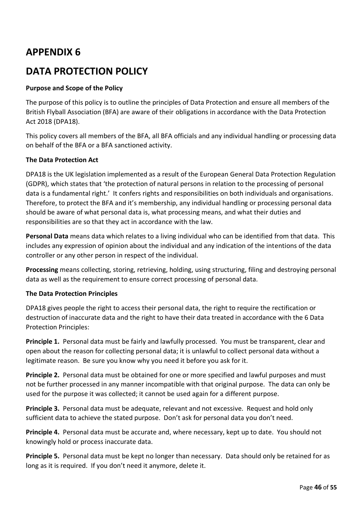# <span id="page-45-0"></span>**APPENDIX 6**

# **DATA PROTECTION POLICY**

# **Purpose and Scope of the Policy**

The purpose of this policy is to outline the principles of Data Protection and ensure all members of the British Flyball Association (BFA) are aware of their obligations in accordance with the Data Protection Act 2018 (DPA18).

This policy covers all members of the BFA, all BFA officials and any individual handling or processing data on behalf of the BFA or a BFA sanctioned activity.

# **The Data Protection Act**

DPA18 is the UK legislation implemented as a result of the European General Data Protection Regulation (GDPR), which states that 'the protection of natural persons in relation to the processing of personal data is a fundamental right.' It confers rights and responsibilities on both individuals and organisations. Therefore, to protect the BFA and it's membership, any individual handling or processing personal data should be aware of what personal data is, what processing means, and what their duties and responsibilities are so that they act in accordance with the law.

**Personal Data** means data which relates to a living individual who can be identified from that data. This includes any expression of opinion about the individual and any indication of the intentions of the data controller or any other person in respect of the individual.

**Processing** means collecting, storing, retrieving, holding, using structuring, filing and destroying personal data as well as the requirement to ensure correct processing of personal data.

# **The Data Protection Principles**

DPA18 gives people the right to access their personal data, the right to require the rectification or destruction of inaccurate data and the right to have their data treated in accordance with the 6 Data Protection Principles:

**Principle 1.** Personal data must be fairly and lawfully processed. You must be transparent, clear and open about the reason for collecting personal data; it is unlawful to collect personal data without a legitimate reason. Be sure you know why you need it before you ask for it.

**Principle 2.** Personal data must be obtained for one or more specified and lawful purposes and must not be further processed in any manner incompatible with that original purpose. The data can only be used for the purpose it was collected; it cannot be used again for a different purpose.

**Principle 3.** Personal data must be adequate, relevant and not excessive. Request and hold only sufficient data to achieve the stated purpose. Don't ask for personal data you don't need.

**Principle 4.** Personal data must be accurate and, where necessary, kept up to date. You should not knowingly hold or process inaccurate data.

**Principle 5.** Personal data must be kept no longer than necessary. Data should only be retained for as long as it is required. If you don't need it anymore, delete it.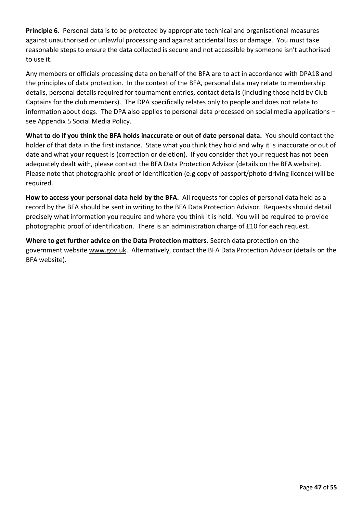**Principle 6.** Personal data is to be protected by appropriate technical and organisational measures against unauthorised or unlawful processing and against accidental loss or damage. You must take reasonable steps to ensure the data collected is secure and not accessible by someone isn't authorised to use it.

Any members or officials processing data on behalf of the BFA are to act in accordance with DPA18 and the principles of data protection. In the context of the BFA, personal data may relate to membership details, personal details required for tournament entries, contact details (including those held by Club Captains for the club members). The DPA specifically relates only to people and does not relate to information about dogs. The DPA also applies to personal data processed on social media applications – see Appendix 5 Social Media Policy.

**What to do if you think the BFA holds inaccurate or out of date personal data.** You should contact the holder of that data in the first instance. State what you think they hold and why it is inaccurate or out of date and what your request is (correction or deletion). If you consider that your request has not been adequately dealt with, please contact the BFA Data Protection Advisor (details on the BFA website). Please note that photographic proof of identification (e.g copy of passport/photo driving licence) will be required.

**How to access your personal data held by the BFA.** All requests for copies of personal data held as a record by the BFA should be sent in writing to the BFA Data Protection Advisor. Requests should detail precisely what information you require and where you think it is held. You will be required to provide photographic proof of identification. There is an administration charge of £10 for each request.

**Where to get further advice on the Data Protection matters.** Search data protection on the government website [www.gov.uk.](http://www.gov.uk/) Alternatively, contact the BFA Data Protection Advisor (details on the BFA website).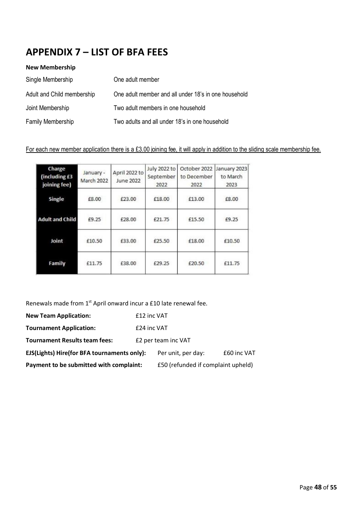# **APPENDIX 7 – LIST OF BFA FEES**

| <b>New Membership</b>      |                                                      |
|----------------------------|------------------------------------------------------|
| Single Membership          | One adult member                                     |
| Adult and Child membership | One adult member and all under 18's in one household |
| Joint Membership           | Two adult members in one household                   |
| Family Membership          | Two adults and all under 18's in one household       |

# For each new member application there is a £3.00 joining fee, it will apply in addition to the sliding scale membership fee.

| Charge<br>(including £3<br>joining fee) | January -<br><b>March 2022</b> | April 2022 to<br>June 2022 | July 2022 to<br>September<br>2022 | October 2022<br>to December<br>2022 | January 2023<br>to March<br>2023 |
|-----------------------------------------|--------------------------------|----------------------------|-----------------------------------|-------------------------------------|----------------------------------|
| Single                                  | £8.00                          | £23.00                     | £18.00                            | £13.00                              | £8.00                            |
| <b>Adult and Child</b>                  | £9.25                          | £28.00                     | £21.75                            | £15.50                              | £9.25                            |
| Joint                                   | £10.50                         | £33.00                     | £25.50                            | £18.00                              | £10.50                           |
| Family                                  | £11.75                         | £38.00                     | £29.25                            | £20.50                              | £11.75                           |

Renewals made from 1<sup>st</sup> April onward incur a £10 late renewal fee.

<span id="page-47-0"></span>

| <b>New Team Application:</b>                | £12 inc VAT                        |                    |             |
|---------------------------------------------|------------------------------------|--------------------|-------------|
| <b>Tournament Application:</b>              | £24 inc VAT                        |                    |             |
| <b>Tournament Results team fees:</b>        | £2 per team inc VAT                |                    |             |
| EJS(Lights) Hire(for BFA tournaments only): |                                    | Per unit, per day: | £60 inc VAT |
| Payment to be submitted with complaint:     | £50 (refunded if complaint upheld) |                    |             |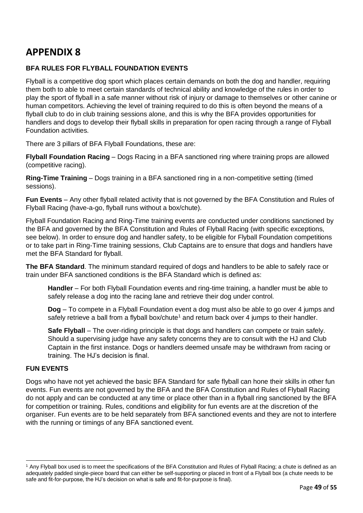# **APPENDIX 8**

# **BFA RULES FOR FLYBALL FOUNDATION EVENTS**

Flyball is a competitive dog sport which places certain demands on both the dog and handler, requiring them both to able to meet certain standards of technical ability and knowledge of the rules in order to play the sport of flyball in a safe manner without risk of injury or damage to themselves or other canine or human competitors. Achieving the level of training required to do this is often beyond the means of a flyball club to do in club training sessions alone, and this is why the BFA provides opportunities for handlers and dogs to develop their flyball skills in preparation for open racing through a range of Flyball Foundation activities.

There are 3 pillars of BFA Flyball Foundations, these are:

**Flyball Foundation Racing** – Dogs Racing in a BFA sanctioned ring where training props are allowed (competitive racing).

**Ring-Time Training** – Dogs training in a BFA sanctioned ring in a non-competitive setting (timed sessions).

**Fun Events** – Any other flyball related activity that is not governed by the BFA Constitution and Rules of Flyball Racing (have-a-go, flyball runs without a box/chute).

Flyball Foundation Racing and Ring-Time training events are conducted under conditions sanctioned by the BFA and governed by the BFA Constitution and Rules of Flyball Racing (with specific exceptions, see below). In order to ensure dog and handler safety, to be eligible for Flyball Foundation competitions or to take part in Ring-Time training sessions, Club Captains are to ensure that dogs and handlers have met the BFA Standard for flyball.

**The BFA Standard**. The minimum standard required of dogs and handlers to be able to safely race or train under BFA sanctioned conditions is the BFA Standard which is defined as:

**Handler** – For both Flyball Foundation events and ring-time training, a handler must be able to safely release a dog into the racing lane and retrieve their dog under control.

**Dog** – To compete in a Flyball Foundation event a dog must also be able to go over 4 jumps and safely retrieve a ball from a flyball box/chute<sup>1</sup> and return back over 4 jumps to their handler.

**Safe Flyball** – The over-riding principle is that dogs and handlers can compete or train safely. Should a supervising judge have any safety concerns they are to consult with the HJ and Club Captain in the first instance. Dogs or handlers deemed unsafe may be withdrawn from racing or training. The HJ's decision is final.

#### **FUN EVENTS**

Dogs who have not yet achieved the basic BFA Standard for safe flyball can hone their skills in other fun events. Fun events are not governed by the BFA and the BFA Constitution and Rules of Flyball Racing do not apply and can be conducted at any time or place other than in a flyball ring sanctioned by the BFA for competition or training. Rules, conditions and eligibility for fun events are at the discretion of the organiser. Fun events are to be held separately from BFA sanctioned events and they are not to interfere with the running or timings of any BFA sanctioned event.

 $1$  Any Flyball box used is to meet the specifications of the BFA Constitution and Rules of Flyball Racing; a chute is defined as an adequately padded single-piece board that can either be self-supporting or placed in front of a Flyball box (a chute needs to be safe and fit-for-purpose, the HJ's decision on what is safe and fit-for-purpose is final).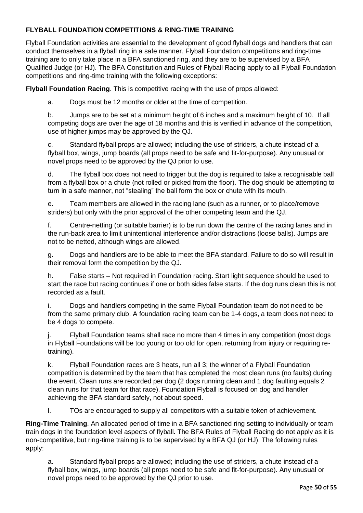# **FLYBALL FOUNDATION COMPETITIONS & RING-TIME TRAINING**

Flyball Foundation activities are essential to the development of good flyball dogs and handlers that can conduct themselves in a flyball ring in a safe manner. Flyball Foundation competitions and ring-time training are to only take place in a BFA sanctioned ring, and they are to be supervised by a BFA Qualified Judge (or HJ). The BFA Constitution and Rules of Flyball Racing apply to all Flyball Foundation competitions and ring-time training with the following exceptions:

**Flyball Foundation Racing**. This is competitive racing with the use of props allowed:

a. Dogs must be 12 months or older at the time of competition.

b. Jumps are to be set at a minimum height of 6 inches and a maximum height of 10. If all competing dogs are over the age of 18 months and this is verified in advance of the competition, use of higher jumps may be approved by the QJ.

c. Standard flyball props are allowed; including the use of striders, a chute instead of a flyball box, wings, jump boards (all props need to be safe and fit-for-purpose). Any unusual or novel props need to be approved by the QJ prior to use.

d. The flyball box does not need to trigger but the dog is required to take a recognisable ball from a flyball box or a chute (not rolled or picked from the floor). The dog should be attempting to turn in a safe manner, not "stealing" the ball form the box or chute with its mouth.

e. Team members are allowed in the racing lane (such as a runner, or to place/remove striders) but only with the prior approval of the other competing team and the QJ.

f. Centre-netting (or suitable barrier) is to be run down the centre of the racing lanes and in the run-back area to limit unintentional interference and/or distractions (loose balls). Jumps are not to be netted, although wings are allowed.

g. Dogs and handlers are to be able to meet the BFA standard. Failure to do so will result in their removal form the competition by the QJ.

h. False starts – Not required in Foundation racing. Start light sequence should be used to start the race but racing continues if one or both sides false starts. If the dog runs clean this is not recorded as a fault.

i. Dogs and handlers competing in the same Flyball Foundation team do not need to be from the same primary club. A foundation racing team can be 1-4 dogs, a team does not need to be 4 dogs to compete.

j. Flyball Foundation teams shall race no more than 4 times in any competition (most dogs in Flyball Foundations will be too young or too old for open, returning from injury or requiring retraining).

k. Flyball Foundation races are 3 heats, run all 3; the winner of a Flyball Foundation competition is determined by the team that has completed the most clean runs (no faults) during the event. Clean runs are recorded per dog (2 dogs running clean and 1 dog faulting equals 2 clean runs for that team for that race). Foundation Flyball is focused on dog and handler achieving the BFA standard safely, not about speed.

l. TOs are encouraged to supply all competitors with a suitable token of achievement.

**Ring-Time Training**. An allocated period of time in a BFA sanctioned ring setting to individually or team train dogs in the foundation level aspects of flyball. The BFA Rules of Flyball Racing do not apply as it is non-competitive, but ring-time training is to be supervised by a BFA QJ (or HJ). The following rules apply:

a. Standard flyball props are allowed; including the use of striders, a chute instead of a flyball box, wings, jump boards (all props need to be safe and fit-for-purpose). Any unusual or novel props need to be approved by the QJ prior to use.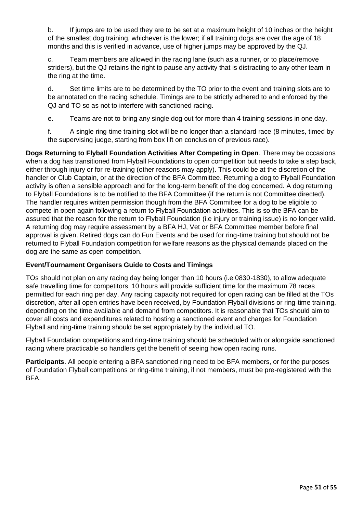b. If jumps are to be used they are to be set at a maximum height of 10 inches or the height of the smallest dog training, whichever is the lower; if all training dogs are over the age of 18 months and this is verified in advance, use of higher jumps may be approved by the QJ.

c. Team members are allowed in the racing lane (such as a runner, or to place/remove striders), but the QJ retains the right to pause any activity that is distracting to any other team in the ring at the time.

d. Set time limits are to be determined by the TO prior to the event and training slots are to be annotated on the racing schedule. Timings are to be strictly adhered to and enforced by the QJ and TO so as not to interfere with sanctioned racing.

e. Teams are not to bring any single dog out for more than 4 training sessions in one day.

f. A single ring-time training slot will be no longer than a standard race (8 minutes, timed by the supervising judge, starting from box lift on conclusion of previous race).

**Dogs Returning to Flyball Foundation Activities After Competing in Open**. There may be occasions when a dog has transitioned from Flyball Foundations to open competition but needs to take a step back, either through injury or for re-training (other reasons may apply). This could be at the discretion of the handler or Club Captain, or at the direction of the BFA Committee. Returning a dog to Flyball Foundation activity is often a sensible approach and for the long-term benefit of the dog concerned. A dog returning to Flyball Foundations is to be notified to the BFA Committee (if the return is not Committee directed). The handler requires written permission though from the BFA Committee for a dog to be eligible to compete in open again following a return to Flyball Foundation activities. This is so the BFA can be assured that the reason for the return to Flyball Foundation (i.e injury or training issue) is no longer valid. A returning dog may require assessment by a BFA HJ, Vet or BFA Committee member before final approval is given. Retired dogs can do Fun Events and be used for ring-time training but should not be returned to Flyball Foundation competition for welfare reasons as the physical demands placed on the dog are the same as open competition.

# **Event/Tournament Organisers Guide to Costs and Timings**

TOs should not plan on any racing day being longer than 10 hours (i.e 0830-1830), to allow adequate safe travelling time for competitors. 10 hours will provide sufficient time for the maximum 78 races permitted for each ring per day. Any racing capacity not required for open racing can be filled at the TOs discretion, after all open entries have been received, by Foundation Flyball divisions or ring-time training, depending on the time available and demand from competitors. It is reasonable that TOs should aim to cover all costs and expenditures related to hosting a sanctioned event and charges for Foundation Flyball and ring-time training should be set appropriately by the individual TO.

Flyball Foundation competitions and ring-time training should be scheduled with or alongside sanctioned racing where practicable so handlers get the benefit of seeing how open racing runs.

**Participants**. All people entering a BFA sanctioned ring need to be BFA members, or for the purposes of Foundation Flyball competitions or ring-time training, if not members, must be pre-registered with the BFA.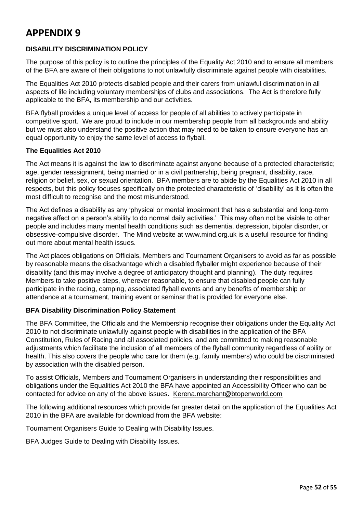# **APPENDIX 9**

## **DISABILITY DISCRIMINATION POLICY**

The purpose of this policy is to outline the principles of the Equality Act 2010 and to ensure all members of the BFA are aware of their obligations to not unlawfully discriminate against people with disabilities.

The Equalities Act 2010 protects disabled people and their carers from unlawful discrimination in all aspects of life including voluntary memberships of clubs and associations. The Act is therefore fully applicable to the BFA, its membership and our activities.

BFA flyball provides a unique level of access for people of all abilities to actively participate in competitive sport. We are proud to include in our membership people from all backgrounds and ability but we must also understand the positive action that may need to be taken to ensure everyone has an equal opportunity to enjoy the same level of access to flyball.

#### **The Equalities Act 2010**

The Act means it is against the law to discriminate against anyone because of a protected characteristic; age, gender reassignment, being married or in a civil partnership, being pregnant, disability, race, religion or belief, sex, or sexual orientation. BFA members are to abide by the Equalities Act 2010 in all respects, but this policy focuses specifically on the protected characteristic of 'disability' as it is often the most difficult to recognise and the most misunderstood.

The Act defines a disability as any 'physical or mental impairment that has a substantial and long-term negative affect on a person's ability to do normal daily activities.' This may often not be visible to other people and includes many mental health conditions such as dementia, depression, bipolar disorder, or obsessive-compulsive disorder. The Mind website at [www.mind.org.uk](http://www.mind.org.uk/) is a useful resource for finding out more about mental health issues.

The Act places obligations on Officials, Members and Tournament Organisers to avoid as far as possible by reasonable means the disadvantage which a disabled flyballer might experience because of their disability (and this may involve a degree of anticipatory thought and planning). The duty requires Members to take positive steps, wherever reasonable, to ensure that disabled people can fully participate in the racing, camping, associated flyball events and any benefits of membership or attendance at a tournament, training event or seminar that is provided for everyone else.

#### **BFA Disability Discrimination Policy Statement**

The BFA Committee, the Officials and the Membership recognise their obligations under the Equality Act 2010 to not discriminate unlawfully against people with disabilities in the application of the BFA Constitution, Rules of Racing and all associated policies, and are committed to making reasonable adjustments which facilitate the inclusion of all members of the flyball community regardless of ability or health. This also covers the people who care for them (e.g. family members) who could be discriminated by association with the disabled person.

To assist Officials, Members and Tournament Organisers in understanding their responsibilities and obligations under the Equalities Act 2010 the BFA have appointed an Accessibility Officer who can be contacted for advice on any of the above issues. [Kerena.marchant@btopenworld.com](mailto:Kerena.marchant@btopenworld.com)

The following additional resources which provide far greater detail on the application of the Equalities Act 2010 in the BFA are available for download from the BFA website:

Tournament Organisers Guide to Dealing with Disability Issues.

BFA Judges Guide to Dealing with Disability Issues.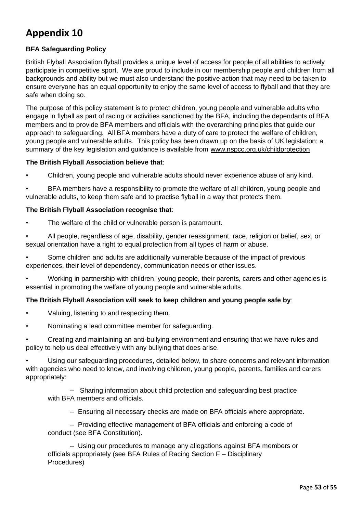# **Appendix 10**

# **BFA Safeguarding Policy**

British Flyball Association flyball provides a unique level of access for people of all abilities to actively participate in competitive sport. We are proud to include in our membership people and children from all backgrounds and ability but we must also understand the positive action that may need to be taken to ensure everyone has an equal opportunity to enjoy the same level of access to flyball and that they are safe when doing so.

The purpose of this policy statement is to protect children, young people and vulnerable adults who engage in flyball as part of racing or activities sanctioned by the BFA, including the dependants of BFA members and to provide BFA members and officials with the overarching principles that guide our approach to safeguarding. All BFA members have a duty of care to protect the welfare of children, young people and vulnerable adults. This policy has been drawn up on the basis of UK legislation; a summary of the key legislation and guidance is available from [www.nspcc.org.uk/childprotection](http://www.nspcc.org.uk/childprotection)

#### **The British Flyball Association believe that**:

• Children, young people and vulnerable adults should never experience abuse of any kind.

• BFA members have a responsibility to promote the welfare of all children, young people and vulnerable adults, to keep them safe and to practise flyball in a way that protects them.

#### **The British Flyball Association recognise that**:

- The welfare of the child or vulnerable person is paramount.
- All people, regardless of age, disability, gender reassignment, race, religion or belief, sex, or sexual orientation have a right to equal protection from all types of harm or abuse.
- Some children and adults are additionally vulnerable because of the impact of previous experiences, their level of dependency, communication needs or other issues.
- Working in partnership with children, young people, their parents, carers and other agencies is essential in promoting the welfare of young people and vulnerable adults.

#### **The British Flyball Association will seek to keep children and young people safe by**:

- Valuing, listening to and respecting them.
- Nominating a lead committee member for safeguarding.

• Creating and maintaining an anti-bullying environment and ensuring that we have rules and policy to help us deal effectively with any bullying that does arise.

• Using our safeguarding procedures, detailed below, to share concerns and relevant information with agencies who need to know, and involving children, young people, parents, families and carers appropriately:

-- Sharing information about child protection and safeguarding best practice with BFA members and officials.

-- Ensuring all necessary checks are made on BFA officials where appropriate.

-- Providing effective management of BFA officials and enforcing a code of conduct (see BFA Constitution).

-- Using our procedures to manage any allegations against BFA members or officials appropriately (see BFA Rules of Racing Section F – Disciplinary Procedures)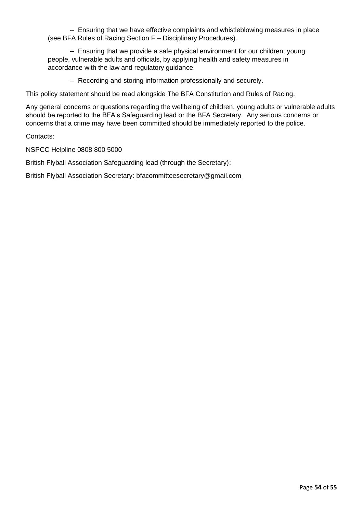-- Ensuring that we have effective complaints and whistleblowing measures in place (see BFA Rules of Racing Section F – Disciplinary Procedures).

-- Ensuring that we provide a safe physical environment for our children, young people, vulnerable adults and officials, by applying health and safety measures in accordance with the law and regulatory guidance.

-- Recording and storing information professionally and securely.

This policy statement should be read alongside The BFA Constitution and Rules of Racing.

Any general concerns or questions regarding the wellbeing of children, young adults or vulnerable adults should be reported to the BFA's Safeguarding lead or the BFA Secretary. Any serious concerns or concerns that a crime may have been committed should be immediately reported to the police.

Contacts:

NSPCC Helpline 0808 800 5000

British Flyball Association Safeguarding lead (through the Secretary):

British Flyball Association Secretary: [bfacommitteesecretary@gmail.com](mailto:bfacommitteesecretary@gmail.com)